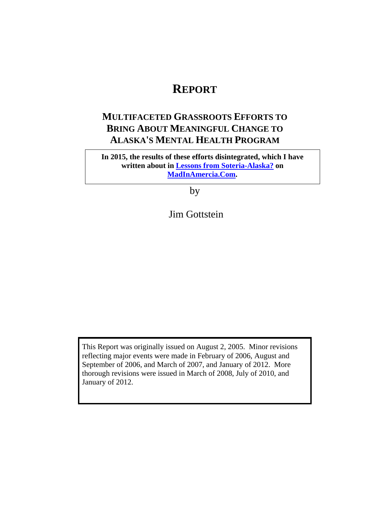# **REPORT**

# **MULTIFACETED GRASSROOTS EFFORTS TO BRING ABOUT MEANINGFUL CHANGE TO ALASKA'S MENTAL HEALTH PROGRAM**

**In 2015, the results of these efforts disintegrated, which I have written about in [Lessons from Soteria-Alaska?](http://www.madinamerica.com/2015/06/lessons-from-soteria-alaska) on [MadInAmercia.Com.](http://www.madinamerica.com/)**

by

Jim Gottstein

This Report was originally issued on August 2, 2005. Minor revisions reflecting major events were made in February of 2006, August and September of 2006, and March of 2007, and January of 2012. More thorough revisions were issued in March of 2008, July of 2010, and January of 2012.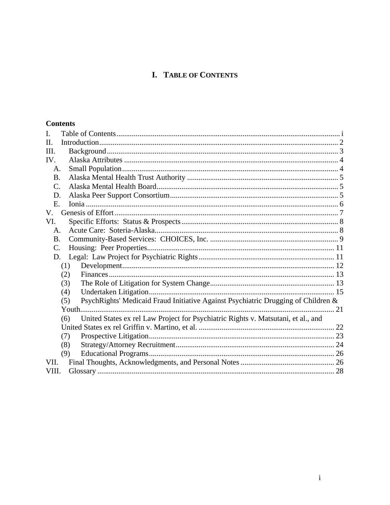# **I. TABLE OF CONTENTS**

#### <span id="page-1-0"></span>**Contents**

| I.              |                                                                                          |  |
|-----------------|------------------------------------------------------------------------------------------|--|
| H.              |                                                                                          |  |
| III.            |                                                                                          |  |
| IV.             |                                                                                          |  |
| A.              |                                                                                          |  |
| B.              |                                                                                          |  |
| $\mathcal{C}$ . |                                                                                          |  |
| D.              |                                                                                          |  |
| Ε.              |                                                                                          |  |
| V.              |                                                                                          |  |
| VI.             |                                                                                          |  |
| A.              |                                                                                          |  |
| <b>B.</b>       |                                                                                          |  |
| $\mathbf{C}$ .  |                                                                                          |  |
| D.              |                                                                                          |  |
|                 | (1)                                                                                      |  |
|                 | (2)                                                                                      |  |
|                 | (3)                                                                                      |  |
|                 | (4)                                                                                      |  |
|                 | PsychRights' Medicaid Fraud Initiative Against Psychiatric Drugging of Children &<br>(5) |  |
|                 |                                                                                          |  |
|                 | United States ex rel Law Project for Psychiatric Rights v. Matsutani, et al., and<br>(6) |  |
|                 |                                                                                          |  |
|                 | (7)                                                                                      |  |
|                 | (8)                                                                                      |  |
|                 | (9)                                                                                      |  |
| VII.            |                                                                                          |  |
| VIII.           |                                                                                          |  |
|                 |                                                                                          |  |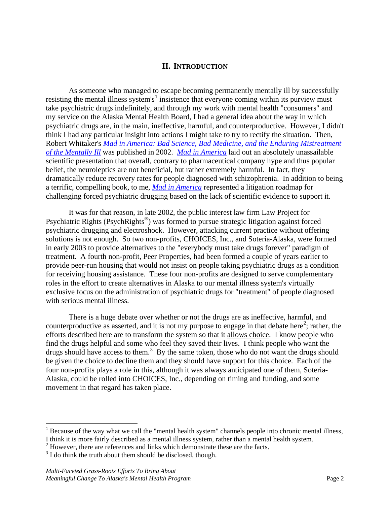#### **II. INTRODUCTION**

<span id="page-2-0"></span>As someone who managed to escape becoming permanently mentally ill by successfully resisting the mental illness system's<sup>[1](#page-2-1)</sup> insistence that everyone coming within its purview must take psychiatric drugs indefinitely, and through my work with mental health "consumers" and my service on the Alaska Mental Health Board, I had a general idea about the way in which psychiatric drugs are, in the main, ineffective, harmful, and counterproductive. However, I didn't think I had any particular insight into actions I might take to try to rectify the situation. Then, Robert Whitaker's *[Mad in America: Bad Science, Bad Medicine, and the](http://www.amazon.com/exec/obidos/ASIN/0738207993/lawprojectfor-20) Enduring Mistreatment [of the Mentally Ill](http://www.amazon.com/exec/obidos/ASIN/0738207993/lawprojectfor-20)* was published in 2002. *[Mad in America](http://www.amazon.com/exec/obidos/ASIN/0738207993/lawprojectfor-20)* laid out an absolutely unassailable scientific presentation that overall, contrary to pharmaceutical company hype and thus popular belief, the neuroleptics are not beneficial, but rather extremely harmful. In fact, they dramatically reduce recovery rates for people diagnosed with schizophrenia. In addition to being a terrific, compelling book, to me, *[Mad in America](http://www.amazon.com/exec/obidos/ASIN/0738207993/lawprojectfor-20)* represented a litigation roadmap for challenging forced psychiatric drugging based on the lack of scientific evidence to support it.

It was for that reason, in late 2002, the public interest law firm Law Project for Psychiatric Rights (PsychRights®) was formed to pursue strategic litigation against forced psychiatric drugging and electroshock. However, attacking current practice without offering solutions is not enough. So two non-profits, CHOICES, Inc., and Soteria-Alaska, were formed in early 2003 to provide alternatives to the "everybody must take drugs forever" paradigm of treatment. A fourth non-profit, Peer Properties, had been formed a couple of years earlier to provide peer-run housing that would not insist on people taking psychiatric drugs as a condition for receiving housing assistance. These four non-profits are designed to serve complementary roles in the effort to create alternatives in Alaska to our mental illness system's virtually exclusive focus on the administration of psychiatric drugs for "treatment" of people diagnosed with serious mental illness.

There is a huge debate over whether or not the drugs are as ineffective, harmful, and counterproductive as asserted, and it is not my purpose to engage in that debate here<sup>[2](#page-2-2)</sup>; rather, the efforts described here are to transform the system so that it allows choice. I know people who find the drugs helpful and some who feel they saved their lives. I think people who want the drugs should have access to them.<sup>[3](#page-2-3)</sup> By the same token, those who do not want the drugs should be given the choice to decline them and they should have support for this choice. Each of the four non-profits plays a role in this, although it was always anticipated one of them, Soteria-Alaska, could be rolled into CHOICES, Inc., depending on timing and funding, and some movement in that regard has taken place.

<span id="page-2-1"></span> $<sup>1</sup>$  Because of the way what we call the "mental health system" channels people into chronic mental illness,</sup> I think it is more fairly described as a mental illness system, rather than a mental health system.

<span id="page-2-2"></span> $2$  However, there are references and links which demonstrate these are the facts.

<span id="page-2-3"></span> $3<sup>3</sup>$  I do think the truth about them should be disclosed, though.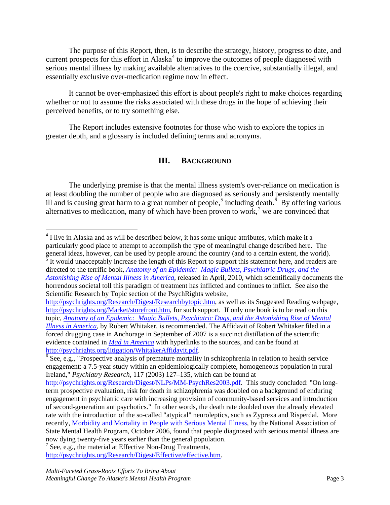The purpose of this Report, then, is to describe the strategy, history, progress to date, and current prospects for this effort in Alaska<sup>[4](#page-3-1)</sup> to improve the outcomes of people diagnosed with serious mental illness by making available alternatives to the coercive, substantially illegal, and essentially exclusive over-medication regime now in effect.

It cannot be over-emphasized this effort is about people's right to make choices regarding whether or not to assume the risks associated with these drugs in the hope of achieving their perceived benefits, or to try something else.

<span id="page-3-0"></span>The Report includes extensive footnotes for those who wish to explore the topics in greater depth, and a glossary is included defining terms and acronyms.

#### **III. BACKGROUND**

The underlying premise is that the mental illness system's over-reliance on medication is at least doubling the number of people who are diagnosed as seriously and persistently mentally ill and is causing great harm to a great number of people,<sup>[5](#page-3-2)</sup> including death.<sup> $\delta$ </sup> By offering various alternatives to medication, many of which have been proven to work,<sup>[7](#page-3-4)</sup> we are convinced that

<span id="page-3-1"></span><sup>&</sup>lt;sup>4</sup> I live in Alaska and as will be described below, it has some unique attributes, which make it a particularly good place to attempt to accomplish the type of meaningful change described here. The general ideas, however, can be used by people around the country (and to a certain extent, the world). It would unacceptably increase the length of this Report to support this statement here, and readers are directed to the terrific book, *[Anatomy of an Epidemic: Magic Bullets, Psychiatric Drugs, and the](http://www.amazon.com/exec/obidos/ASIN/0307452417/lawprojectfor-20)  [Astonishing Rise of Mental Illness in America](http://www.amazon.com/exec/obidos/ASIN/0307452417/lawprojectfor-20)*, released in April, 2010, which scientifically documents the

<span id="page-3-2"></span>horrendous societal toll this paradigm of treatment has inflicted and continues to inflict. See also the Scientific Research by Topic section of the PsychRights website,

[http://psychrights.org/Research/Digest/Researchbytopic.htm,](http://psychrights.org/Research/Digest/Researchbytopic.htm) as well as its Suggested Reading webpage, [http://psychrights.org/Market/storefront.htm,](http://psychrights.org/Market/storefront.htm) for such support. If only one book is to be read on this topic, *[Anatomy of an Epidemic: Magic Bullets, Psychiatric Dugs, and the Astonishing Rise of Mental](http://www.amazon.com/exec/obidos/ASIN/0307452417/lawprojectfor-20)  [Illness in America](http://www.amazon.com/exec/obidos/ASIN/0307452417/lawprojectfor-20)*, by Robert Whitaker, is recommended. The Affidavit of Robert Whitaker filed in a forced drugging case in Anchorage in September of 2007 is a succinct distillation of the scientific evidence contained in *[Mad in America](http://www.amazon.com/exec/obidos/ASIN/0738207993/lawprojectfor-20)* with hyperlinks to the sources, and can be found at [http://psychrights.org/litigation/WhitakerAffidavit.pdf.](http://psychrights.org/litigation/WhitakerAffidavit.pdf)<br><sup>[6](http://psychrights.org/litigation/WhitakerAffidavit.pdf)</sup> See, e.g., "Prospective analysis of premature mortality in schizophrenia in relation to health service

<span id="page-3-3"></span>engagement: a 7.5-year study within an epidemiologically complete, homogeneous population in rural Ireland," *Psychiatry Research*, 117 (2003) 127–135, which can be found at

[http://psychrights.org/Research/Digest/NLPs/MM-PsychRes2003.pdf.](http://psychrights.org/Research/Digest/NLPs/MM-PsychRes2003.pdf) This study concluded: "On longterm prospective evaluation, risk for death in schizophrenia was doubled on a background of enduring engagement in psychiatric care with increasing provision of community-based services and introduction of second-generation antipsychotics." In other words, the death rate doubled over the already elevated rate with the introduction of the so-called "atypical" neuroleptics, such as Zyprexa and Risperdal. More recently, [Morbidity and Mortality in People with Serious Mental Illness,](http://psychrights.org/Articles/2006NASMHPDonEarlyDeath.pdf) by the National Association of State Mental Health Program, October 2006, found that people diagnosed with serious mental illness are

<span id="page-3-4"></span>now dying twenty-five years earlier than the general population.<br><sup>7</sup> See, e.g., the material at Effective Non-Drug Treatments, [http://psychrights.org/Research/Digest/Effective/effective.htm.](http://psychrights.org/Research/Digest/Effective/effective.htm)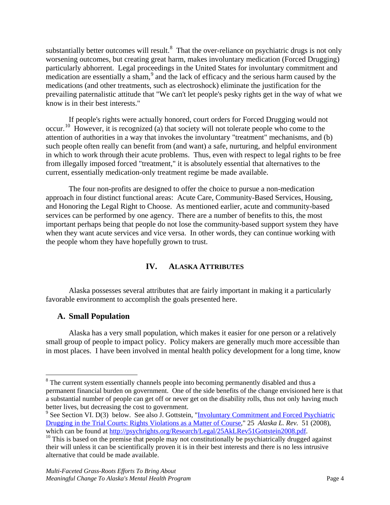substantially better outcomes will result. $8$  That the over-reliance on psychiatric drugs is not only worsening outcomes, but creating great harm, makes involuntary medication (Forced Drugging) particularly abhorrent. Legal proceedings in the United States for involuntary commitment and medication are essentially a sham,<sup>[9](#page-4-3)</sup> and the lack of efficacy and the serious harm caused by the medications (and other treatments, such as electroshock) eliminate the justification for the prevailing paternalistic attitude that "We can't let people's pesky rights get in the way of what we know is in their best interests."

If people's rights were actually honored, court orders for Forced Drugging would not occur.<sup>[10](#page-4-4)</sup> However, it is recognized (a) that society will not tolerate people who come to the attention of authorities in a way that invokes the involuntary "treatment" mechanisms, and (b) such people often really can benefit from (and want) a safe, nurturing, and helpful environment in which to work through their acute problems. Thus, even with respect to legal rights to be free from illegally imposed forced "treatment," it is absolutely essential that alternatives to the current, essentially medication-only treatment regime be made available.

The four non-profits are designed to offer the choice to pursue a non-medication approach in four distinct functional areas: Acute Care, Community-Based Services, Housing, and Honoring the Legal Right to Choose. As mentioned earlier, acute and community-based services can be performed by one agency. There are a number of benefits to this, the most important perhaps being that people do not lose the community-based support system they have when they want acute services and vice versa. In other words, they can continue working with the people whom they have hopefully grown to trust.

## **IV. ALASKA ATTRIBUTES**

<span id="page-4-0"></span>Alaska possesses several attributes that are fairly important in making it a particularly favorable environment to accomplish the goals presented here.

## <span id="page-4-1"></span>**A. Small Population**

Alaska has a very small population, which makes it easier for one person or a relatively small group of people to impact policy. Policy makers are generally much more accessible than in most places. I have been involved in mental health policy development for a long time, know

<span id="page-4-2"></span><sup>&</sup>lt;sup>8</sup> The current system essentially channels people into becoming permanently disabled and thus a permanent financial burden on government. One of the side benefits of the change envisioned here is that a substantial number of people can get off or never get on the disability rolls, thus not only having much better lives, but decreasing the cost to government.

<span id="page-4-3"></span><sup>&</sup>lt;sup>9</sup> See Section [VI. D\(3\)](#page-13-1) below. See also J. Gottstein, "Involuntary Commitment and Forced Psychiatric [Drugging in the Trial Courts: Rights Violations as a Matter of Course,](http://psychrights.org/Research/Legal/25AkLRev51Gottstein2008.pdf)" 25 *Alaska L. Rev.* 51 (2008),

<span id="page-4-4"></span> $10$  This is based on the premise that people may not constitutionally be psychiatrically drugged against their will unless it can be scientifically proven it is in their best interests and there is no less intrusive alternative that could be made available.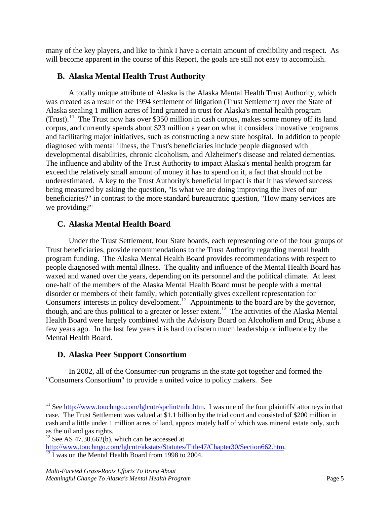many of the key players, and like to think I have a certain amount of credibility and respect. As will become apparent in the course of this Report, the goals are still not easy to accomplish.

## <span id="page-5-0"></span>**B. Alaska Mental Health Trust Authority**

A totally unique attribute of Alaska is the Alaska Mental Health Trust Authority, which was created as a result of the 1994 settlement of litigation (Trust Settlement) over the State of Alaska stealing 1 million acres of land granted in trust for Alaska's mental health program (Trust).<sup>11</sup> The Trust now has over \$350 million in cash corpus, makes some money off its land corpus, and currently spends about \$23 million a year on what it considers innovative programs and facilitating major initiatives, such as constructing a new state hospital. In addition to people diagnosed with mental illness, the Trust's beneficiaries include people diagnosed with developmental disabilities, chronic alcoholism, and Alzheimer's disease and related dementias. The influence and ability of the Trust Authority to impact Alaska's mental health program far exceed the relatively small amount of money it has to spend on it, a fact that should not be underestimated. A key to the Trust Authority's beneficial impact is that it has viewed success being measured by asking the question, "Is what we are doing improving the lives of our beneficiaries?" in contrast to the more standard bureaucratic question, "How many services are we providing?"

# <span id="page-5-1"></span>**C. Alaska Mental Health Board**

Under the Trust Settlement, four State boards, each representing one of the four groups of Trust beneficiaries, provide recommendations to the Trust Authority regarding mental health program funding. The Alaska Mental Health Board provides recommendations with respect to people diagnosed with mental illness. The quality and influence of the Mental Health Board has waxed and waned over the years, depending on its personnel and the political climate. At least one-half of the members of the Alaska Mental Health Board must be people with a mental disorder or members of their family, which potentially gives excellent representation for Consumers' interests in policy development.<sup>12</sup> Appointments to the board are by the governor, though, and are thus political to a greater or lesser extent.<sup>13</sup> The activities of the Alaska Mental Health Board were largely combined with the Advisory Board on Alcoholism and Drug Abuse a few years ago. In the last few years it is hard to discern much leadership or influence by the Mental Health Board.

# <span id="page-5-2"></span>**D. Alaska Peer Support Consortium**

In 2002, all of the Consumer-run programs in the state got together and formed the "Consumers Consortium" to provide a united voice to policy makers. See

<span id="page-5-3"></span><sup>&</sup>lt;sup>11</sup> See [http://www.touchngo.com/lglcntr/spclint/mht.htm.](http://www.touchngo.com/lglcntr/spclint/mht.htm) I was one of the four plaintiffs' attorneys in that case. The Trust Settlement was valued at \$1.1 billion by the trial court and consisted of \$200 million in cash and a little under 1 million acres of land, approximately half of which was mineral estate only, such as the oil and gas rights.

<span id="page-5-4"></span><sup>&</sup>lt;sup>12</sup> See AS 47.30.662(b), which can be accessed at  $\frac{http://www.touchngo.com/lglcntr/akstats/Statutes/Title47/Chapter 30/Section 662.htm.$ 

<span id="page-5-5"></span> $\frac{1}{13}$  I was on the Mental Health Board from 1998 to 2004.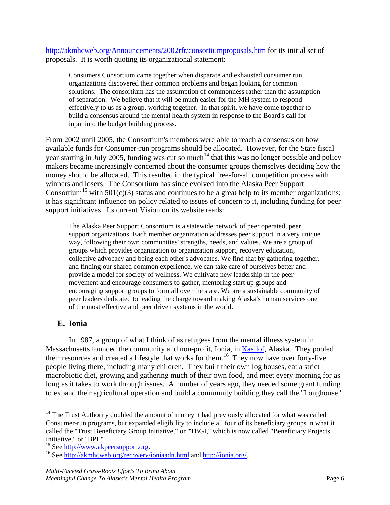<http://akmhcweb.org/Announcements/2002rfr/consortiumproposals.htm> for its initial set of proposals. It is worth quoting its organizational statement:

Consumers Consortium came together when disparate and exhausted consumer run organizations discovered their common problems and began looking for common solutions. The consortium has the assumption of commonness rather than the assumption of separation. We believe that it will be much easier for the MH system to respond effectively to us as a group, working together. In that spirit, we have come together to build a consensus around the mental health system in response to the Board's call for input into the budget building process.

From 2002 until 2005, the Consortium's members were able to reach a consensus on how available funds for Consumer-run programs should be allocated. However, for the State fiscal year starting in July 2005, funding was cut so much<sup>[14](#page-6-1)</sup> that this was no longer possible and policy makers became increasingly concerned about the consumer groups themselves deciding how the money should be allocated. This resulted in the typical free-for-all competition process with winners and losers. The Consortium has since evolved into the Alaska Peer Support Consortium<sup>[15](#page-6-2)</sup> with 501(c)(3) status and continues to be a great help to its member organizations; it has significant influence on policy related to issues of concern to it, including funding for peer support initiatives. Its current Vision on its website reads:

The Alaska Peer Support Consortium is a statewide network of peer operated, peer support organizations. Each member organization addresses peer support in a very unique way, following their own communities' strengths, needs, and values. We are a group of groups which provides organization to organization support, recovery education, collective advocacy and being each other's advocates. We find that by gathering together, and finding our shared common experience, we can take care of ourselves better and provide a model for society of wellness. We cultivate new leadership in the peer movement and encourage consumers to gather, mentoring start up groups and encouraging support groups to form all over the state. We are a sustainable community of peer leaders dedicated to leading the charge toward making Alaska's human services one of the most effective and peer driven systems in the world.

## <span id="page-6-0"></span>**E. Ionia**

In 1987, a group of what I think of as refugees from the mental illness system in Massachusetts founded the community and non-profit, Ionia, in **Kasilof**, Alaska. They pooled their resources and created a lifestyle that works for them.<sup>[16](#page-6-3)</sup> They now have over forty-five people living there, including many children. They built their own log houses, eat a strict macrobiotic diet, growing and gathering much of their own food, and meet every morning for as long as it takes to work through issues. A number of years ago, they needed some grant funding to expand their agricultural operation and build a community building they call the "Longhouse."

<span id="page-6-1"></span><sup>&</sup>lt;sup>14</sup> The Trust Authority doubled the amount of money it had previously allocated for what was called Consumer-run programs, but expanded eligibility to include all four of its beneficiary groups in what it called the "Trust Beneficiary Group Initiative," or "TBGI," which is now called "Beneficiary Projects Initiative," or "BPI."<br><sup>15</sup> See http://www.akpeersupport.org.

<span id="page-6-2"></span>

<span id="page-6-3"></span><sup>&</sup>lt;sup>16</sup> See <http://akmhcweb.org/recovery/ioniaadn.html> and [http://ionia.org/.](http://ionia.org/)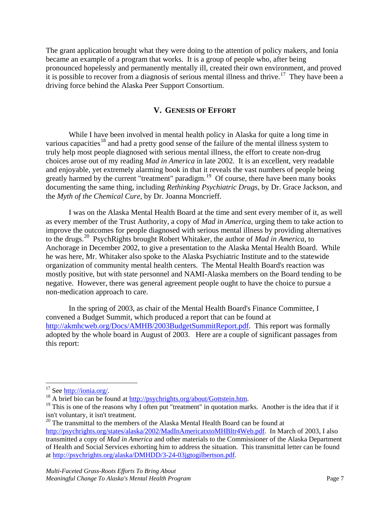The grant application brought what they were doing to the attention of policy makers, and Ionia became an example of a program that works. It is a group of people who, after being pronounced hopelessly and permanently mentally ill, created their own environment, and proved it is possible to recover from a diagnosis of serious mental illness and thrive.<sup>17</sup> They have been a driving force behind the Alaska Peer Support Consortium.

#### **V. GENESIS OF EFFORT**

<span id="page-7-0"></span>While I have been involved in mental health policy in Alaska for quite a long time in various capacities<sup>[18](#page-7-2)</sup> and had a pretty good sense of the failure of the mental illness system to truly help most people diagnosed with serious mental illness, the effort to create non-drug choices arose out of my reading *Mad in America* in late 2002. It is an excellent, very readable and enjoyable, yet extremely alarming book in that it reveals the vast numbers of people being greatly harmed by the current "treatment" paradigm.<sup>19</sup> Of course, there have been many books documenting the same thing, including *Rethinking Psychiatric Drugs*, by Dr. Grace Jackson, and the *Myth of the Chemical Cure*, by Dr. Joanna Moncrieff.

I was on the Alaska Mental Health Board at the time and sent every member of it, as well as every member of the Trust Authority, a copy of *Mad in America*, urging them to take action to improve the outcomes for people diagnosed with serious mental illness by providing alternatives to the drugs. [20](#page-7-4) PsychRights brought Robert Whitaker, the author of *Mad in America*, to Anchorage in December 2002, to give a presentation to the Alaska Mental Health Board. While he was here, Mr. Whitaker also spoke to the Alaska Psychiatric Institute and to the statewide organization of community mental health centers. The Mental Health Board's reaction was mostly positive, but with state personnel and NAMI-Alaska members on the Board tending to be negative. However, there was general agreement people ought to have the choice to pursue a non-medication approach to care.

In the spring of 2003, as chair of the Mental Health Board's Finance Committee, I convened a Budget Summit, which produced a report that can be found at [http://akmhcweb.org/Docs/AMHB/2003BudgetSummitReport.pdf.](http://akmhcweb.org/Docs/AMHB/2003BudgetSummitReport.pdf) This report was formally adopted by the whole board in August of 2003. Here are a couple of significant passages from this report:

<span id="page-7-3"></span>

<span id="page-7-2"></span><span id="page-7-1"></span><sup>&</sup>lt;sup>17</sup> See <u>http://ionia.org/</u>.<br><sup>18</sup> A brief bio can be found at  $\frac{http://psych rights.org/about/Gottstein.htm}{http://psychrights.org/about/Gottstein.htm}$ .<br><sup>19</sup> This is one of the reasons why I often put "treatment" in quotation marks. Another is the idea that if it isn't voluntary, it isn't treatment.

<span id="page-7-4"></span><sup>&</sup>lt;sup>20</sup> The transmittal to the members of the Alaska Mental Health Board can be found at

[http://psychrights.org/states/alaska/2002/MadInAmericatxtoMHBltr4Web.pdf.](http://psychrights.org/states/alaska/2002/MadInAmericatxtoMHBltr4Web.pdf) In March of 2003, I also transmitted a copy of *Mad in America* and other materials to the Commissioner of the Alaska Department of Health and Social Services exhorting him to address the situation. This transmittal letter can be found at [http://psychrights.org/alaska/DMHDD/3-24-03jgtogilbertson.pdf.](http://psychrights.org/alaska/DMHDD/3-24-03jgtogilbertson.pdf)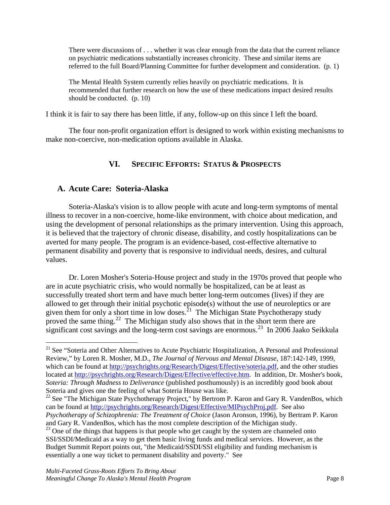There were discussions of . . . whether it was clear enough from the data that the current reliance on psychiatric medications substantially increases chronicity. These and similar items are referred to the full Board/Planning Committee for further development and consideration. (p. 1)

The Mental Health System currently relies heavily on psychiatric medications. It is recommended that further research on how the use of these medications impact desired results should be conducted. (p. 10)

I think it is fair to say there has been little, if any, follow-up on this since I left the board.

<span id="page-8-0"></span>The four non-profit organization effort is designed to work within existing mechanisms to make non-coercive, non-medication options available in Alaska.

# **VI. SPECIFIC EFFORTS: STATUS & PROSPECTS**

## <span id="page-8-1"></span>**A. Acute Care: Soteria-Alaska**

Soteria-Alaska's vision is to allow people with acute and long-term symptoms of mental illness to recover in a non-coercive, home-like environment, with choice about medication, and using the development of personal relationships as the primary intervention. Using this approach, it is believed that the trajectory of chronic disease, disability, and costly hospitalizations can be averted for many people. The program is an evidence-based, cost-effective alternative to permanent disability and poverty that is responsive to individual needs, desires, and cultural values.

Dr. Loren Mosher's Soteria-House project and study in the 1970s proved that people who are in acute psychiatric crisis, who would normally be hospitalized, can be at least as successfully treated short term and have much better long-term outcomes (lives) if they are allowed to get through their initial psychotic episode(s) without the use of neuroleptics or are given them for only a short time in low doses.<sup>[21](#page-8-2)</sup> The Michigan State Psychotherapy study proved the same thing.<sup>22</sup> The Michigan study also shows that in the short term there are significant cost savings and the long-term cost savings are enormous.<sup>[23](#page-8-4)</sup> In 2006 Jaako Seikkula

<span id="page-8-2"></span><sup>&</sup>lt;sup>21</sup> See "Soteria and Other Alternatives to Acute Psychiatric Hospitalization, A Personal and Professional Review," by Loren R. Mosher, M.D., *The Journal of Nervous and Mental Disease*, 187:142-149, 1999, which can be found at [http://psychrights.org/Research/Digest/Effective/soteria.pdf,](http://psychrights.org/Research/Digest/Effective/soteria.pdf) and the other studies located at [http://psychrights.org/Research/Digest/Effective/effective.htm.](http://psychrights.org/Research/Digest/Effective/effective.htm) In addition, Dr. Mosher's book, *Soteria: Through Madness to Deliverance* (published posthumously) is an incredibly good book about Soteria and gives one the feeling of what Soteria House was like.

<span id="page-8-3"></span><sup>&</sup>lt;sup>22</sup> See "The Michigan State Psychotherapy Project," by Bertrom P. Karon and Gary R. VandenBos, which can be found at [http://psychrights.org/Research/Digest/Effective/MIPsychProj.pdf.](http://psychrights.org/Research/Digest/Effective/MIPsychProj.pdf) See also *Psychotherapy of Schizophrenia: The Treatment of Choice* (Jason Aronson, 1996), by Bertram P. Karon and Gary R. VandenBos, which has the most complete description of the Michigan study.

<span id="page-8-4"></span> $^{23}$  One of the things that happens is that people who get caught by the system are channeled onto SSI/SSDI/Medicaid as a way to get them basic living funds and medical services. However, as the Budget Summit Report points out, "the Medicaid/SSDI/SSI eligibility and funding mechanism is essentially a one way ticket to permanent disability and poverty." See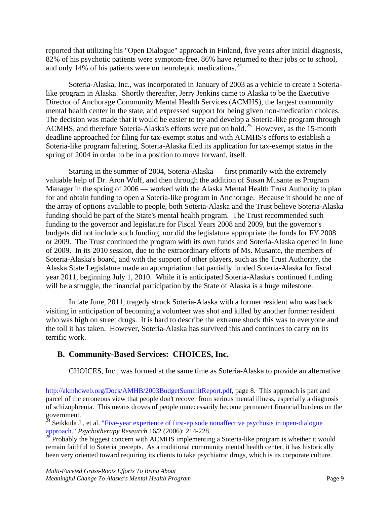reported that utilizing his "Open Dialogue" approach in Finland, five years after initial diagnosis, 82% of his psychotic patients were symptom-free, 86% have returned to their jobs or to school, and only 14% of his patients were on neuroleptic medications.<sup>[24](#page-9-1)</sup>

Soteria-Alaska, Inc., was incorporated in January of 2003 as a vehicle to create a Soterialike program in Alaska. Shortly thereafter, Jerry Jenkins came to Alaska to be the Executive Director of Anchorage Community Mental Health Services (ACMHS), the largest community mental health center in the state, and expressed support for being given non-medication choices. The decision was made that it would be easier to try and develop a Soteria-like program through ACMHS, and therefore Soteria-Alaska's efforts were put on hold. [25](#page-9-2) However, as the 15-month deadline approached for filing for tax-exempt status and with ACMHS's efforts to establish a Soteria-like program faltering, Soteria-Alaska filed its application for tax-exempt status in the spring of 2004 in order to be in a position to move forward, itself.

Starting in the summer of 2004, Soteria-Alaska — first primarily with the extremely valuable help of Dr. Aron Wolf, and then through the addition of Susan Musante as Program Manager in the spring of 2006 — worked with the Alaska Mental Health Trust Authority to plan for and obtain funding to open a Soteria-like program in Anchorage. Because it should be one of the array of options available to people, both Soteria-Alaska and the Trust believe Soteria-Alaska funding should be part of the State's mental health program. The Trust recommended such funding to the governor and legislature for Fiscal Years 2008 and 2009, but the governor's budgets did not include such funding, nor did the legislature appropriate the funds for FY 2008 or 2009. The Trust continued the program with its own funds and Soteria-Alaska opened in June of 2009. In its 2010 session, due to the extraordinary efforts of Ms. Musante, the members of Soteria-Alaska's board, and with the support of other players, such as the Trust Authority, the Alaska State Legislature made an appropriation that partially funded Soteria-Alaska for fiscal year 2011, beginning July 1, 2010. While it is anticipated Soteria-Alaska's continued funding will be a struggle, the financial participation by the State of Alaska is a huge milestone.

In late June, 2011, tragedy struck Soteria-Alaska with a former resident who was back visiting in anticipation of becoming a volunteer was shot and killed by another former resident who was high on street drugs. It is hard to describe the extreme shock this was to everyone and the toll it has taken. However, Soteria-Alaska has survived this and continues to carry on its terrific work.

#### <span id="page-9-0"></span>**B. Community-Based Services: CHOICES, Inc.**

CHOICES, Inc., was formed at the same time as Soteria-Alaska to provide an alternative

[http://akmhcweb.org/Docs/AMHB/2003BudgetSummitReport.pdf,](http://akmhcweb.org/Docs/AMHB/2003BudgetSummitReport.pdf) page 8. This approach is part and parcel of the erroneous view that people don't recover from serious mental illness, especially a diagnosis of schizophrenia. This means droves of people unnecessarily become permanent financial burdens on the government.

<span id="page-9-1"></span><sup>24</sup> Seikkula J., et al. <u>"Five-year experience of first-episode nonaffective psychosis in open-dialogue</u> [approach.](http://psychrights.org/Research/Digest/Effective/fiveyarocpsychotherapyresearch.pdf)" *Psychotherapy Research* 16/2 (2006): 214-228.

<span id="page-9-2"></span> $\frac{25}{25}$  Probably the biggest concern with ACMHS implementing a Soteria-like program is whether it would remain faithful to Soteria precepts. As a traditional community mental health center, it has historically been very oriented toward requiring its clients to take psychiatric drugs, which is its corporate culture.

 $\overline{a}$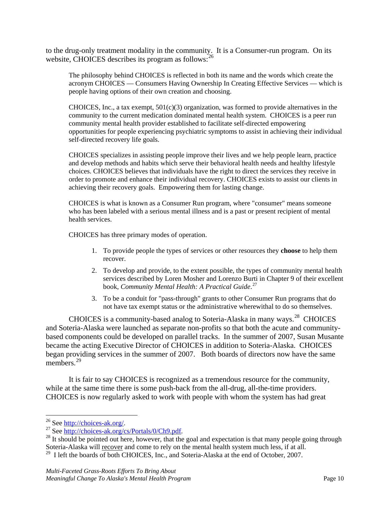to the drug-only treatment modality in the community. It is a Consumer-run program. On its website, CHOICES describes its program as follows: <sup>[26](#page-10-0)</sup>

The philosophy behind CHOICES is reflected in both its name and the words which create the acronym CHOICES — Consumers Having Ownership In Creating Effective Services — which is people having options of their own creation and choosing.

CHOICES, Inc., a tax exempt,  $501(c)(3)$  organization, was formed to provide alternatives in the community to the current medication dominated mental health system. CHOICES is a peer run community mental health provider established to facilitate self-directed empowering opportunities for people experiencing psychiatric symptoms to assist in achieving their individual self-directed recovery life goals.

CHOICES specializes in assisting people improve their lives and we help people learn, practice and develop methods and habits which serve their behavioral health needs and healthy lifestyle choices. CHOICES believes that individuals have the right to direct the services they receive in order to promote and enhance their individual recovery. CHOICES exists to assist our clients in achieving their recovery goals. Empowering them for lasting change.

CHOICES is what is known as a Consumer Run program, where "consumer" means someone who has been labeled with a serious mental illness and is a past or present recipient of mental health services.

CHOICES has three primary modes of operation.

- 1. To provide people the types of services or other resources they **choose** to help them recover.
- 2. To develop and provide, to the extent possible, the types of community mental health services described by Loren Mosher and Lorenzo Burti in Chapter 9 of their excellent book, *Community Mental Health: A Practical Guide*. [27](#page-10-1)
- 3. To be a conduit for "pass-through" grants to other Consumer Run programs that do not have tax exempt status or the administrative wherewithal to do so themselves.

CHOICES is a community-based analog to Soteria-Alaska in many ways.<sup>[28](#page-10-2)</sup> CHOICES and Soteria-Alaska were launched as separate non-profits so that both the acute and communitybased components could be developed on parallel tracks. In the summer of 2007, Susan Musante became the acting Executive Director of CHOICES in addition to Soteria-Alaska. CHOICES began providing services in the summer of 2007. Both boards of directors now have the same members<sup>[29](#page-10-3)</sup>

It is fair to say CHOICES is recognized as a tremendous resource for the community, while at the same time there is some push-back from the all-drug, all-the-time providers. CHOICES is now regularly asked to work with people with whom the system has had great

<span id="page-10-2"></span><span id="page-10-1"></span>

<span id="page-10-0"></span><sup>&</sup>lt;sup>26</sup> See <u>[http://choices-ak.org/.](http://choices-ak.org/)</u><br><sup>27</sup> See <u>http://choices-ak.org/cs/Portals/0/Ch9.pdf</u>.<br><sup>28</sup> It should be pointed out here, however, that the goal and expectation is that many people going through Soteria-Alaska will recover and come to rely on the mental health system much less, if at all.

<span id="page-10-3"></span><sup>&</sup>lt;sup>29</sup> I left the boards of both CHOICES, Inc., and Soteria-Alaska at the end of October, 2007.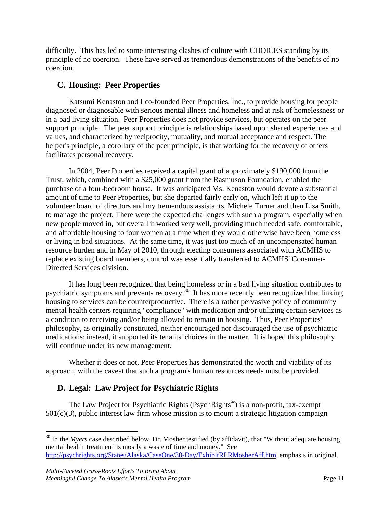difficulty. This has led to some interesting clashes of culture with CHOICES standing by its principle of no coercion. These have served as tremendous demonstrations of the benefits of no coercion.

## <span id="page-11-0"></span>**C. Housing: Peer Properties**

Katsumi Kenaston and I co-founded Peer Properties, Inc., to provide housing for people diagnosed or diagnosable with serious mental illness and homeless and at risk of homelessness or in a bad living situation. Peer Properties does not provide services, but operates on the peer support principle. The peer support principle is relationships based upon shared experiences and values, and characterized by reciprocity, mutuality, and mutual acceptance and respect. The helper's principle, a corollary of the peer principle, is that working for the recovery of others facilitates personal recovery.

In 2004, Peer Properties received a capital grant of approximately \$190,000 from the Trust, which, combined with a \$25,000 grant from the Rasmuson Foundation, enabled the purchase of a four-bedroom house. It was anticipated Ms. Kenaston would devote a substantial amount of time to Peer Properties, but she departed fairly early on, which left it up to the volunteer board of directors and my tremendous assistants, Michele Turner and then Lisa Smith, to manage the project. There were the expected challenges with such a program, especially when new people moved in, but overall it worked very well, providing much needed safe, comfortable, and affordable housing to four women at a time when they would otherwise have been homeless or living in bad situations. At the same time, it was just too much of an uncompensated human resource burden and in May of 2010, through electing consumers associated with ACMHS to replace existing board members, control was essentially transferred to ACMHS' Consumer-Directed Services division.

It has long been recognized that being homeless or in a bad living situation contributes to psychiatric symptoms and prevents recovery.<sup>[30](#page-11-2)</sup> It has more recently been recognized that linking housing to services can be counterproductive. There is a rather pervasive policy of community mental health centers requiring "compliance" with medication and/or utilizing certain services as a condition to receiving and/or being allowed to remain in housing. Thus, Peer Properties' philosophy, as originally constituted, neither encouraged nor discouraged the use of psychiatric medications; instead, it supported its tenants' choices in the matter. It is hoped this philosophy will continue under its new management.

Whether it does or not, Peer Properties has demonstrated the worth and viability of its approach, with the caveat that such a program's human resources needs must be provided.

# <span id="page-11-1"></span>**D. Legal: Law Project for Psychiatric Rights**

The Law Project for Psychiatric Rights (PsychRights<sup>®</sup>) is a non-profit, tax-exempt  $501(c)(3)$ , public interest law firm whose mission is to mount a strategic litigation campaign

<span id="page-11-2"></span><sup>&</sup>lt;sup>30</sup> In the *Myers* case described below, Dr. Mosher testified (by affidavit), that "Without adequate housing, mental health 'treatment' is mostly a waste of time and money." See [http://psychrights.org/States/Alaska/CaseOne/30-Day/ExhibitRLRMosherAff.htm,](http://psychrights.org/States/Alaska/CaseOne/30-Day/ExhibitRLRMosherAff.htm) emphasis in original.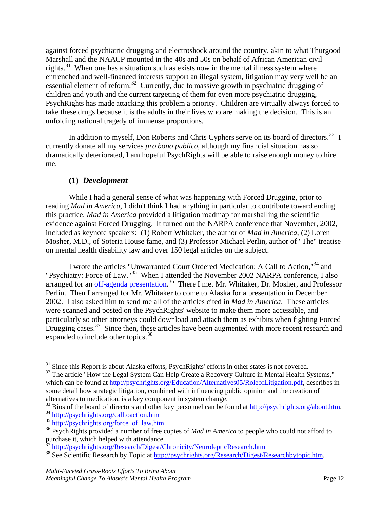against forced psychiatric drugging and electroshock around the country, akin to what Thurgood Marshall and the NAACP mounted in the 40s and 50s on behalf of African American civil rights.<sup>31</sup> When one has a situation such as exists now in the mental illness system where entrenched and well-financed interests support an illegal system, litigation may very well be an essential element of reform.<sup>32</sup> Currently, due to massive growth in psychiatric drugging of children and youth and the current targeting of them for even more psychiatric drugging, PsychRights has made attacking this problem a priority. Children are virtually always forced to take these drugs because it is the adults in their lives who are making the decision. This is an unfolding national tragedy of immense proportions.

In addition to myself, Don Roberts and Chris Cyphers serve on its board of directors.<sup>[33](#page-12-3)</sup> I currently donate all my services *pro bono publico*, although my financial situation has so dramatically deteriorated, I am hopeful PsychRights will be able to raise enough money to hire me.

#### **(1)** *Development*

<span id="page-12-0"></span>While I had a general sense of what was happening with Forced Drugging, prior to reading *Mad in America*, I didn't think I had anything in particular to contribute toward ending this practice. *Mad in America* provided a litigation roadmap for marshalling the scientific evidence against Forced Drugging. It turned out the NARPA conference that November, 2002, included as keynote speakers: (1) Robert Whitaker, the author of *Mad in America*, (2) Loren Mosher, M.D., of Soteria House fame, and (3) Professor Michael Perlin, author of "The" treatise on mental health disability law and over 150 legal articles on the subject.

I wrote the articles "Unwarranted Court Ordered Medication: A Call to Action,"<sup>[34](#page-12-4)</sup> and "Psychiatry: Force of Law."<sup>[35](#page-12-5)</sup> When I attended the November 2002 NARPA conference, I also arranged for an [off-agenda presentation.](http://psychrights.org/education/NARPA02/NARPA02.pps)<sup>[36](#page-12-6)</sup> There I met Mr. Whitaker, Dr. Mosher, and Professor Perlin. Then I arranged for Mr. Whitaker to come to Alaska for a presentation in December 2002. I also asked him to send me all of the articles cited in *Mad in America*. These articles were scanned and posted on the PsychRights' website to make them more accessible, and particularly so other attorneys could download and attach them as exhibits when fighting Forced Drugging cases.<sup>37</sup> Since then, these articles have been augmented with more recent research and expanded to include other topics.<sup>[38](#page-12-8)</sup>

<span id="page-12-1"></span><sup>&</sup>lt;sup>31</sup> Since this Report is about Alaska efforts, PsychRights' efforts in other states is not covered.

<span id="page-12-2"></span><sup>&</sup>lt;sup>32</sup> The article "How the Legal System Can Help Create a Recovery Culture in Mental Health Systems," which can be found at [http://psychrights.org/Education/Alternatives05/RoleofLitigation.pdf,](http://psychrights.org/Education/Alternatives05/RoleofLitigation.pdf) describes in some detail how strategic litigation, combined with influencing public opinion and the creation of alternatives to medication, is a key component in system change.

<span id="page-12-3"></span><sup>&</sup>lt;sup>33</sup> Bios of the board of directors and other key personnel can be found at  $\frac{http://psych rights.org/about.htm}{http://psych rights.org/about.htm}$ .

<span id="page-12-5"></span><span id="page-12-4"></span><sup>35</sup> [http://psychrights.org/force\\_of\\_law.htm](http://psychrights.org/force_of_law.htm)

<span id="page-12-6"></span><sup>36</sup> PsychRights provided a number of free copies of *Mad in America* to people who could not afford to purchase it, which helped with attendance.

<sup>&</sup>lt;sup>37</sup> <http://psychrights.org/Research/Digest/Chronicity/NeurolepticResearch.htm>

<span id="page-12-8"></span><span id="page-12-7"></span><sup>&</sup>lt;sup>38</sup> See Scientific Research by Topic at [http://psychrights.org/Research/Digest/Researchbytopic.htm.](http://psychrights.org/Research/Digest/Researchbytopic.htm)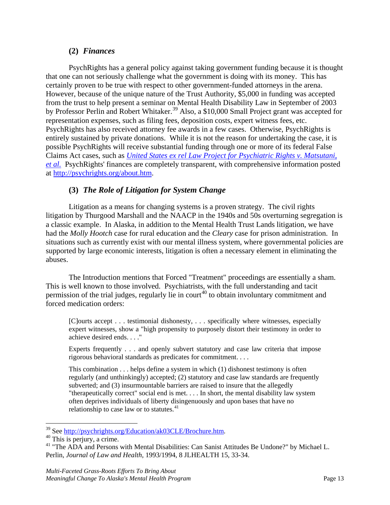#### **(2)** *Finances*

<span id="page-13-0"></span>PsychRights has a general policy against taking government funding because it is thought that one can not seriously challenge what the government is doing with its money. This has certainly proven to be true with respect to other government-funded attorneys in the arena. However, because of the unique nature of the Trust Authority, \$5,000 in funding was accepted from the trust to help present a seminar on Mental Health Disability Law in September of 2003 by Professor Perlin and Robert Whitaker.<sup>[39](#page-13-2)</sup> Also, a \$10,000 Small Project grant was accepted for representation expenses, such as filing fees, deposition costs, expert witness fees, etc. PsychRights has also received attorney fee awards in a few cases. Otherwise, PsychRights is entirely sustained by private donations. While it is not the reason for undertaking the case, it is possible PsychRights will receive substantial funding through one or more of its federal False Claims Act cases, such as *[United States ex rel Law Project for Psychiatric Rights v. Matsutani,](http://psychrights.org/States/Alaska/Matsutani/Matsutani.htm)  [et al.](http://psychrights.org/States/Alaska/Matsutani/Matsutani.htm)* PsychRights' finances are completely transparent, with comprehensive information posted at [http://psychrights.org/about.htm.](http://psychrights.org/about.htm)

#### **(3)** *The Role of Litigation for System Change*

<span id="page-13-1"></span>Litigation as a means for changing systems is a proven strategy. The civil rights litigation by Thurgood Marshall and the NAACP in the 1940s and 50s overturning segregation is a classic example. In Alaska, in addition to the Mental Health Trust Lands litigation, we have had the *Molly Hootch* case for rural education and the *Cleary* case for prison administration. In situations such as currently exist with our mental illness system, where governmental policies are supported by large economic interests, litigation is often a necessary element in eliminating the abuses.

The Introduction mentions that Forced "Treatment" proceedings are essentially a sham. This is well known to those involved. Psychiatrists, with the full understanding and tacit permission of the trial judges, regularly lie in court<sup>[40](#page-13-3)</sup> to obtain involuntary commitment and forced medication orders:

[C]ourts accept . . . testimonial dishonesty, . . . specifically where witnesses, especially expert witnesses, show a "high propensity to purposely distort their testimony in order to achieve desired ends. . . ."

Experts frequently . . . and openly subvert statutory and case law criteria that impose rigorous behavioral standards as predicates for commitment. . . .

This combination . . . helps define a system in which (1) dishonest testimony is often regularly (and unthinkingly) accepted; (2) statutory and case law standards are frequently subverted; and (3) insurmountable barriers are raised to insure that the allegedly "therapeutically correct" social end is met. . . . In short, the mental disability law system often deprives individuals of liberty disingenuously and upon bases that have no relationship to case law or to statutes. $41$ 

<span id="page-13-2"></span> $39$  See [http://psychrights.org/Education/ak03CLE/Brochure.htm.](http://psychrights.org/Education/ak03CLE/Brochure.htm)  $40$  This is perjury, a crime.

<span id="page-13-3"></span>

<span id="page-13-4"></span><sup>&</sup>lt;sup>41</sup> "The ADA and Persons with Mental Disabilities: Can Sanist Attitudes Be Undone?" by Michael L. Perlin, *Journal of Law and Health*, 1993/1994, 8 JLHEALTH 15, 33-34.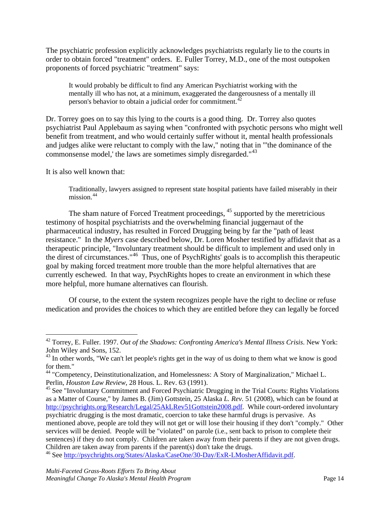The psychiatric profession explicitly acknowledges psychiatrists regularly lie to the courts in order to obtain forced "treatment" orders. E. Fuller Torrey, M.D., one of the most outspoken proponents of forced psychiatric "treatment" says:

It would probably be difficult to find any American Psychiatrist working with the mentally ill who has not, at a minimum, exaggerated the dangerousness of a mentally ill person's behavior to obtain a judicial order for commitment.<sup>[42](#page-14-0)</sup>

Dr. Torrey goes on to say this lying to the courts is a good thing. Dr. Torrey also quotes psychiatrist Paul Applebaum as saying when "confronted with psychotic persons who might well benefit from treatment, and who would certainly suffer without it, mental health professionals and judges alike were reluctant to comply with the law," noting that in "'the dominance of the commonsense model,' the laws are sometimes simply disregarded."<sup>[43](#page-14-1)</sup>

It is also well known that:

Traditionally, lawyers assigned to represent state hospital patients have failed miserably in their mission.<sup>[44](#page-14-2)</sup>

The sham nature of Forced Treatment proceedings, <sup>[45](#page-14-3)</sup> supported by the meretricious testimony of hospital psychiatrists and the overwhelming financial juggernaut of the pharmaceutical industry, has resulted in Forced Drugging being by far the "path of least resistance." In the *Myers* case described below, Dr. Loren Mosher testified by affidavit that as a therapeutic principle, "Involuntary treatment should be difficult to implement and used only in the direst of circumstances." [46](#page-14-4) Thus, one of PsychRights' goals is to accomplish this therapeutic goal by making forced treatment more trouble than the more helpful alternatives that are currently eschewed. In that way, PsychRights hopes to create an environment in which these more helpful, more humane alternatives can flourish.

Of course, to the extent the system recognizes people have the right to decline or refuse medication and provides the choices to which they are entitled before they can legally be forced

<span id="page-14-0"></span> <sup>42</sup> Torrey, E. Fuller. 1997. *Out of the Shadows: Confronting America's Mental Illness Crisis*. New York: John Wiley and Sons, 152.

<span id="page-14-1"></span> $43$  In other words, "We can't let people's rights get in the way of us doing to them what we know is good for them."

<span id="page-14-2"></span><sup>&</sup>lt;sup>44</sup> "Competency, Deinstitutionalization, and Homelessness: A Story of Marginalization," Michael L. Perlin, *Houston Law Review*, 28 Hous. L. Rev. 63 (1991).

<span id="page-14-3"></span><sup>&</sup>lt;sup>45</sup> See "Involuntary Commitment and Forced Psychiatric Drugging in the Trial Courts: Rights Violations as a Matter of Course," by James B. (Jim) Gottstein, 25 Alaska *L. Rev.* 51 (2008), which can be found at [http://psychrights.org/Research/Legal/25AkLRev51Gottstein2008.pdf.](http://psychrights.org/Research/Legal/25AkLRev51Gottstein2008.pdf) While court-ordered involuntary psychiatric drugging is the most dramatic, coercion to take these harmful drugs is pervasive. As mentioned above, people are told they will not get or will lose their housing if they don't "comply." Other services will be denied. People will be "violated" on parole (i.e., sent back to prison to complete their sentences) if they do not comply. Children are taken away from their parents if they are not given drugs. Children are taken away from parents if the parent(s) don't take the drugs.

<span id="page-14-4"></span><sup>46</sup> See [http://psychrights.org/States/Alaska/CaseOne/30-Day/ExR-LMosherAffidavit.pdf.](http://psychrights.org/States/Alaska/CaseOne/30-Day/ExR-LMosherAffidavit.pdf)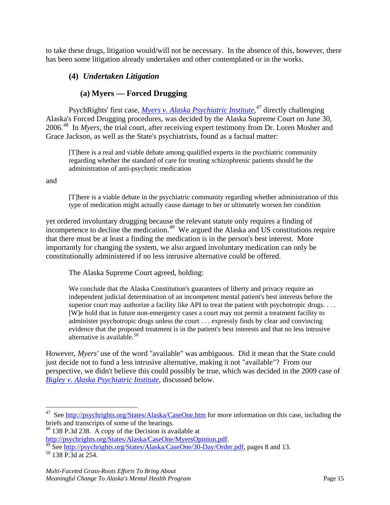to take these drugs, litigation would/will not be necessary. In the absence of this, however, there has been some litigation already undertaken and other contemplated or in the works.

## <span id="page-15-0"></span>**(4)** *Undertaken Litigation*

## **(a) Myers — Forced Drugging**

PsychRights' first case, *Myers [v. Alaska Psychiatric Institute](http://psychrights.org/States/Alaska/CaseOne/MyersOpinion.pdf)*, [47](#page-15-1) directly challenging Alaska's Forced Drugging procedures, was decided by the Alaska Supreme Court on June 30, 2006. [48](#page-15-2) In *Myers*, the trial court, after receiving expert testimony from Dr. Loren Mosher and Grace Jackson, as well as the State's psychiatrists, found as a factual matter:

[T]here is a real and viable debate among qualified experts in the psychiatric community regarding whether the standard of care for treating schizophrenic patients should be the administration of anti-psychotic medication

and

[T]here is a viable debate in the psychiatric community regarding whether administration of this type of medication might actually cause damage to her or ultimately worsen her condition

yet ordered involuntary drugging because the relevant statute only requires a finding of incompetence to decline the medication.<sup>[49](#page-15-3)</sup> We argued the Alaska and US constitutions require that there must be at least a finding the medication is in the person's best interest. More importantly for changing the system, we also argued involuntary medication can only be constitutionally administered if no less intrusive alternative could be offered.

The Alaska Supreme Court agreed, holding:

We conclude that the Alaska Constitution's guarantees of liberty and privacy require an independent judicial determination of an incompetent mental patient's best interests before the superior court may authorize a facility like API to treat the patient with psychotropic drugs. . . . [W]e hold that in future non-emergency cases a court may not permit a treatment facility to administer psychotropic drugs unless the court . . . expressly finds by clear and convincing evidence that the proposed treatment is in the patient's best interests and that no less intrusive alternative is available.<sup>[50](#page-15-4)</sup>

However, *Myers'* use of the word "available" was ambiguous. Did it mean that the State could just decide not to fund a less intrusive alternative, making it not "available"? From our perspective, we didn't believe this could possibly be true, which was decided in the 2009 case of *[Bigley v. Alaska Psychiatric Institute](http://psychrights.org/States/Alaska/CaseXX/S13116/090522BigleyvAPIsp-6374.pdf)*, discussed below.

<span id="page-15-2"></span><sup>48</sup> 138 P.3d 238. A copy of the Decision is available at  $\frac{http://psychrights.org/States/Alaska/CaseOne/MyersOption.pdf.}$ 

<span id="page-15-1"></span><sup>&</sup>lt;sup>47</sup> See<http://psychrights.org/States/Alaska/CaseOne.htm> for more information on this case, including the briefs and transcripts of some of the hearings.

<span id="page-15-3"></span>[http://psychrights.org/States/Alaska/CaseOne/30-Day/Order.pdf,](http://psychrights.org/States/Alaska/CaseOne/30-Day/Order.pdf) pages 8 and 13.

<span id="page-15-4"></span><sup>50</sup> 138 P.3d at 254.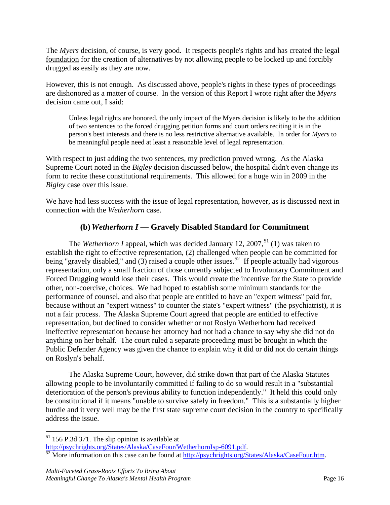The *Myers* decision, of course, is very good. It respects people's rights and has created the legal foundation for the creation of alternatives by not allowing people to be locked up and forcibly drugged as easily as they are now.

However, this is not enough. As discussed above, people's rights in these types of proceedings are dishonored as a matter of course. In the version of this Report I wrote right after the *Myers* decision came out, I said:

Unless legal rights are honored, the only impact of the Myers decision is likely to be the addition of two sentences to the forced drugging petition forms and court orders reciting it is in the person's best interests and there is no less restrictive alternative available. In order for *Myers* to be meaningful people need at least a reasonable level of legal representation.

With respect to just adding the two sentences, my prediction proved wrong. As the Alaska Supreme Court noted in the *Bigley* decision discussed below, the hospital didn't even change its form to recite these constitutional requirements. This allowed for a huge win in 2009 in the *Bigley* case over this issue.

We have had less success with the issue of legal representation, however, as is discussed next in connection with the *Wetherhorn* case.

# **(b)** *Wetherhorn I* **— Gravely Disabled Standard for Commitment**

The *Wetherhorn I* appeal, which was decided January 12, 2007,<sup>[51](#page-16-0)</sup> (1) was taken to establish the right to effective representation, (2) challenged when people can be committed for being "gravely disabled," and (3) raised a couple other issues.<sup>52</sup> If people actually had vigorous representation, only a small fraction of those currently subjected to Involuntary Commitment and Forced Drugging would lose their cases. This would create the incentive for the State to provide other, non-coercive, choices. We had hoped to establish some minimum standards for the performance of counsel, and also that people are entitled to have an "expert witness" paid for, because without an "expert witness" to counter the state's "expert witness" (the psychiatrist), it is not a fair process. The Alaska Supreme Court agreed that people are entitled to effective representation, but declined to consider whether or not Roslyn Wetherhorn had received ineffective representation because her attorney had not had a chance to say why she did not do anything on her behalf. The court ruled a separate proceeding must be brought in which the Public Defender Agency was given the chance to explain why it did or did not do certain things on Roslyn's behalf.

The Alaska Supreme Court, however, did strike down that part of the Alaska Statutes allowing people to be involuntarily committed if failing to do so would result in a "substantial deterioration of the person's previous ability to function independently." It held this could only be constitutional if it means "unable to survive safely in freedom." This is a substantially higher hurdle and it very well may be the first state supreme court decision in the country to specifically address the issue.

<span id="page-16-0"></span> $51$  156 P.3d 371. The slip opinion is available at

<span id="page-16-1"></span>[http://psychrights.org/States/Alaska/CaseFour/WetherhornIsp-6091.pdf.](http://psychrights.org/States/Alaska/CaseFour/WetherhornIsp-6091.pdf)<br><sup>52</sup> More information on this case can be found at [http://psychrights.org/States/Alaska/CaseFour.htm.](http://psychrights.org/States/Alaska/CaseFour.htm)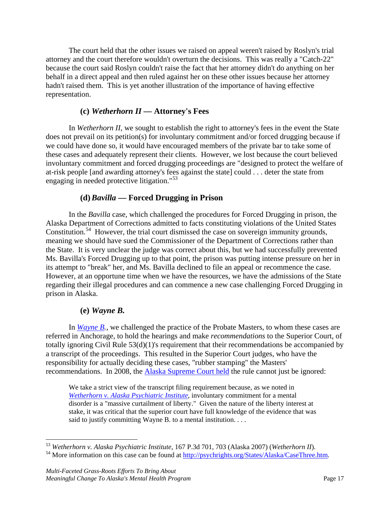The court held that the other issues we raised on appeal weren't raised by Roslyn's trial attorney and the court therefore wouldn't overturn the decisions. This was really a "Catch-22" because the court said Roslyn couldn't raise the fact that her attorney didn't do anything on her behalf in a direct appeal and then ruled against her on these other issues because her attorney hadn't raised them. This is yet another illustration of the importance of having effective representation.

#### **(c)** *Wetherhorn II —* **Attorney's Fees**

In *Wetherhorn II*, we sought to establish the right to attorney's fees in the event the State does not prevail on its petition(s) for involuntary commitment and/or forced drugging because if we could have done so, it would have encouraged members of the private bar to take some of these cases and adequately represent their clients. However, we lost because the court believed involuntary commitment and forced drugging proceedings are "designed to protect the welfare of at-risk people [and awarding attorney's fees against the state] could . . . deter the state from engaging in needed protective litigation."<sup>[53](#page-17-0)</sup>

#### **(d)***Bavilla* **— Forced Drugging in Prison**

In the *Bavilla* case, which challenged the procedures for Forced Drugging in prison, the Alaska Department of Corrections admitted to facts constituting violations of the United States Constitution.<sup>[54](#page-17-1)</sup> However, the trial court dismissed the case on sovereign immunity grounds, meaning we should have sued the Commissioner of the Department of Corrections rather than the State. It is very unclear the judge was correct about this, but we had successfully prevented Ms. Bavilla's Forced Drugging up to that point, the prison was putting intense pressure on her in its attempt to "break" her, and Ms. Bavilla declined to file an appeal or recommence the case. However, at an opportune time when we have the resources, we have the admissions of the State regarding their illegal procedures and can commence a new case challenging Forced Drugging in prison in Alaska.

#### **(e)** *Wayne B.*

In *[Wayne B.](http://psychrights.org/States/Alaska/CaseSix.htm)*, we challenged the practice of the Probate Masters, to whom these cases are referred in Anchorage, to hold the hearings and make *recommendations* to the Superior Court, of totally ignoring Civil Rule 53(d)(1)'s requirement that their recommendations be accompanied by a transcript of the proceedings. This resulted in the Superior Court judges, who have the responsibility for actually deciding these cases, "rubber stamping" the Masters' recommendations. In 2008, the [Alaska Supreme Court](http://psychrights.org/States/Alaska/CaseSix/080829WayneBOpinion.pdf) held the rule cannot just be ignored:

We take a strict view of the transcript filing requirement because, as we noted in *[Wetherhorn v. Alaska Psychiatric Institute](http://psychrights.org/States/Alaska/CaseFour/WetherhornI(rev)sp-6116.pdf)*, involuntary commitment for a mental disorder is a "massive curtailment of liberty." Given the nature of the liberty interest at stake, it was critical that the superior court have full knowledge of the evidence that was said to justify committing Wayne B. to a mental institution. . . .

<span id="page-17-0"></span> <sup>53</sup> *Wetherhorn v. Alaska Psychiatric Institute*, 167 P.3d 701, 703 (Alaska 2007) (*Wetherhorn II*).

<span id="page-17-1"></span><sup>&</sup>lt;sup>54</sup> More information on this case can be found at [http://psychrights.org/States/Alaska/CaseThree.htm.](http://psychrights.org/States/Alaska/CaseThree.htm)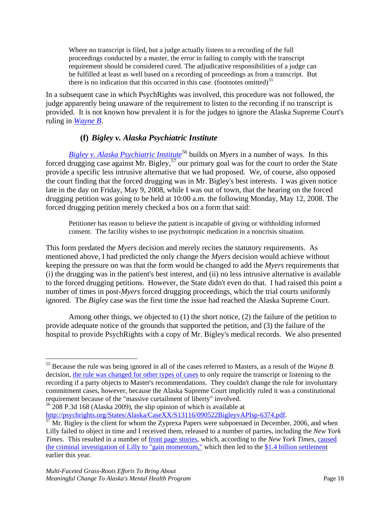Where no transcript is filed, but a judge actually listens to a recording of the full proceedings conducted by a master, the error in failing to comply with the transcript requirement should be considered cured. The adjudicative responsibilities of a judge can be fulfilled at least as well based on a recording of proceedings as from a transcript. But there is no indication that this occurred in this case. (footnotes omitted)<sup>[55](#page-18-0)</sup>

In a subsequent case in which PsychRights was involved, this procedure was not followed, the judge apparently being unaware of the requirement to listen to the recording if no transcript is provided. It is not known how prevalent it is for the judges to ignore the Alaska Supreme Court's ruling in *[Wayne B](http://psychrights.org/States/Alaska/CaseSix/080829WayneBOpinion.pdf)*.

# **(f)** *Bigley v. Alaska Psychiatric Institute*

*[Bigley v. Alaska Psychiatric Institute](http://psychrights.org/States/Alaska/CaseXX/S13116/090522BigleyvAPIsp-6374.pdf)*<sup>[56](#page-18-1)</sup> builds on *Myers* in a number of ways. In this forced drugging case against Mr. Bigley,<sup>[57](#page-18-2)</sup> our primary goal was for the court to order the State provide a specific less intrusive alternative that we had proposed. We, of course, also opposed the court finding that the forced drugging was in Mr. Bigley's best interests. I was given notice late in the day on Friday, May 9, 2008, while I was out of town, that the hearing on the forced drugging petition was going to be held at 10:00 a.m. the following Monday, May 12, 2008. The forced drugging petition merely checked a box on a form that said:

Petitioner has reason to believe the patient is incapable of giving or withholding informed consent. The facility wishes to use psychotropic medication in a noncrisis situation.

This form predated the *Myers* decision and merely recites the statutory requirements. As mentioned above, I had predicted the only change the *Myers* decision would achieve without keeping the pressure on was that the form would be changed to add the *Myers* requirements that (i) the drugging was in the patient's best interest, and (ii) no less intrusive alternative is available to the forced drugging petitions. However, the State didn't even do that. I had raised this point a number of times in post-*Myers* forced drugging proceedings, which the trial courts uniformly ignored. The *Bigley* case was the first time the issue had reached the Alaska Supreme Court.

Among other things, we objected to  $(1)$  the short notice,  $(2)$  the failure of the petition to provide adequate notice of the grounds that supported the petition, and (3) the failure of the hospital to provide PsychRights with a copy of Mr. Bigley's medical records. We also presented

<span id="page-18-1"></span><sup>56</sup> 208 P.3d 168 (Alaska 2009), the slip opinion of which is available at http://psychrights.org/States/Alaska/CaseXX/S13116/090522BigleyvAPIsp-6374.pdf.

<span id="page-18-0"></span> <sup>55</sup> Because the rule was being ignored in all of the cases referred to Masters, as a result of the *Wayne B.*  decision, [the rule was changed for other types of cases](http://psychrights.org/States/Alaska/CaseSix/sco1685leg.pdf) to only require the transcript or listening to the recording if a party objects to Master's recommendations. They couldn't change the rule for involuntary commitment cases, however, because the Alaska Supreme Court implicitly ruled it was a constitutional requirement because of the "massive curtailment of liberty" involved.

<span id="page-18-2"></span> $\frac{1}{57}$  $\frac{1}{57}$  $\frac{1}{57}$  Mr. Bigley is the client for whom the Zyprexa Papers were subpoenaed in December, 2006, and when Lilly failed to object in time and I received them, released to a number of parties, including the *New York Times*. This resulted in a number of [front page stories,](http://psychrights.org/States/Alaska/CaseXX.htm#NYTimes) which, according to the *New York Times*, [caused](http://psychrights.org/Articles/NYTimes080131LillyFedSttlmntTalks.pdf) [the criminal investigation of Lilly to "gain momentum,"](http://psychrights.org/Articles/NYTimes080131LillyFedSttlmntTalks.pdf) which then led to the [\\$1.4 billion settlement](http://psychrights.org/Articles/NYTimes090115Lilly2Pay1.4Bill4ZyprexaCrimes.htm) earlier this year.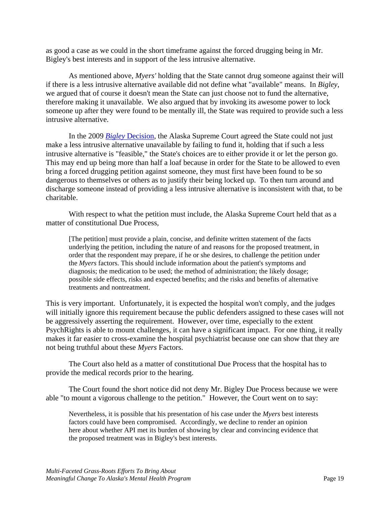as good a case as we could in the short timeframe against the forced drugging being in Mr. Bigley's best interests and in support of the less intrusive alternative.

As mentioned above, *Myers'* holding that the State cannot drug someone against their will if there is a less intrusive alternative available did not define what "available" means. In *Bigley*, we argued that of course it doesn't mean the State can just choose not to fund the alternative, therefore making it unavailable. We also argued that by invoking its awesome power to lock someone up after they were found to be mentally ill, the State was required to provide such a less intrusive alternative.

In the 2009 *Bigley* [Decision,](http://psychrights.org/States/Alaska/CaseXX/S13116/090522BigleyvAPIsp-6374.pdf) the Alaska Supreme Court agreed the State could not just make a less intrusive alternative unavailable by failing to fund it, holding that if such a less intrusive alternative is "feasible," the State's choices are to either provide it or let the person go. This may end up being more than half a loaf because in order for the State to be allowed to even bring a forced drugging petition against someone, they must first have been found to be so dangerous to themselves or others as to justify their being locked up. To then turn around and discharge someone instead of providing a less intrusive alternative is inconsistent with that, to be charitable.

With respect to what the petition must include, the Alaska Supreme Court held that as a matter of constitutional Due Process,

[The petition] must provide a plain, concise, and definite written statement of the facts underlying the petition, including the nature of and reasons for the proposed treatment, in order that the respondent may prepare, if he or she desires, to challenge the petition under the *[Myers](http://www.westlaw.com/Find/Default.wl?rs=dfa1.0&vr=2.0&FindType=Y&SerialNum=2009471386)* factors. This should include information about the patient's symptoms and diagnosis; the medication to be used; the method of administration; the likely dosage; possible side effects, risks and expected benefits; and the risks and benefits of alternative treatments and nontreatment.

This is very important. Unfortunately, it is expected the hospital won't comply, and the judges will initially ignore this requirement because the public defenders assigned to these cases will not be aggressively asserting the requirement. However, over time, especially to the extent PsychRights is able to mount challenges, it can have a significant impact. For one thing, it really makes it far easier to cross-examine the hospital psychiatrist because one can show that they are not being truthful about these *Myers* Factors.

The Court also held as a matter of constitutional Due Process that the hospital has to provide the medical records prior to the hearing.

The Court found the short notice did not deny Mr. Bigley Due Process because we were able "to mount a vigorous challenge to the petition." However, the Court went on to say:

Nevertheless, it is possible that his presentation of his case under the *Myers* best interests factors could have been compromised. Accordingly, we decline to render an opinion here about whether API met its burden of showing by clear and convincing evidence that the proposed treatment was in Bigley's best interests.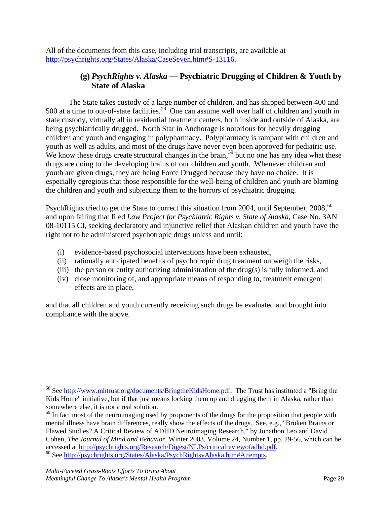All of the documents from this case, including trial transcripts, are available at [http://psychrights.org/States/Alaska/CaseSeven.htm#S-13116.](http://psychrights.org/States/Alaska/CaseSeven.htm#S-13116)

# **(g)** *PsychRights v. Alaska* **— Psychiatric Drugging of Children & Youth by State of Alaska**

The State takes custody of a large number of children, and has shipped between 400 and 500 at a time to out-of-state facilities.<sup>58</sup> One can assume well over half of children and youth in state custody, virtually all in residential treatment centers, both inside and outside of Alaska, are being psychiatrically drugged. North Star in Anchorage is notorious for heavily drugging children and youth and engaging in polypharmacy. Polypharmacy is rampant with children and youth as well as adults, and most of the drugs have never even been approved for pediatric use. We know these drugs create structural changes in the brain,  $59$  but no one has any idea what these drugs are doing to the developing brains of our children and youth. Whenever children and youth are given drugs, they are being Force Drugged because they have no choice. It is especially egregious that those responsible for the well-being of children and youth are blaming the children and youth and subjecting them to the horrors of psychiatric drugging.

PsychRights tried to get the State to correct this situation from 2004, until September, 2008,<sup>[60](#page-20-2)</sup> and upon failing that filed *Law Project for Psychiatric Rights v. State of Alaska*, Case No. 3AN 08-10115 CI, seeking declaratory and injunctive relief that Alaskan children and youth have the right not to be administered psychotropic drugs unless and until:

- (i) evidence-based psychosocial interventions have been exhausted,
- (ii) rationally anticipated benefits of psychotropic drug treatment outweigh the risks,
- (iii) the person or entity authorizing administration of the drug(s) is fully informed, and
- (iv) close monitoring of, and appropriate means of responding to, treatment emergent effects are in place,

and that all children and youth currently receiving such drugs be evaluated and brought into compliance with the above.

<span id="page-20-0"></span><sup>&</sup>lt;sup>58</sup> See [http://www.mhtrust.org/documents/BringtheKidsHome.pdf.](http://www.mhtrust.org/documents/BringtheKidsHome.pdf) The Trust has instituted a "Bring the Kids Home" initiative, but if that just means locking them up and drugging them in Alaska, rather than somewhere else, it is not a real solution.

<span id="page-20-1"></span><sup>&</sup>lt;sup>59</sup> In fact most of the neuroimaging used by proponents of the drugs for the proposition that people with mental illness have brain differences, really show the effects of the drugs. See, e.g., "Broken Brains or Flawed Studies? A Critical Review of ADHD Neuroimaging Research," by Jonathon Leo and David Cohen, *The Journal of Mind and Behavior*, Winter 2003, Volume 24, Number 1, pp. 29-56, which can be

<span id="page-20-2"></span><sup>&</sup>lt;sup>60</sup> See [http://psychrights.org/States/Alaska/PsychRightsvAlaska.htm#Attempts.](http://psychrights.org/States/Alaska/PsychRightsvAlaska.htm#Attempts)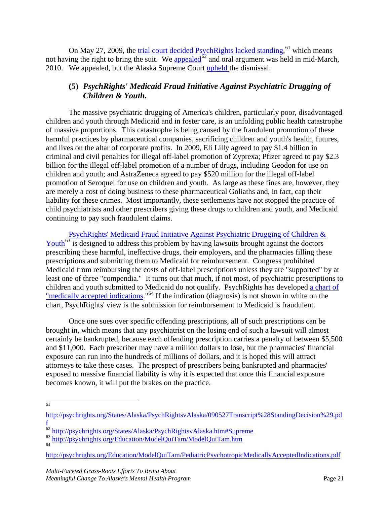On May 27, 2009, the [trial court decided PsychRights lacked standing,](http://psychrights.org/States/Alaska/PsychRightsvAlaska/090527Transcript%28StandingDecision%29.pdf) <sup>[61](#page-21-1)</sup> which means not having the right to bring the suit. We **appealed**<sup> $62$ </sup> and oral argument was held in mid-March, 2010. We appealed, but the Alaska Supreme Court [upheld t](http://psychrights.org/States/Alaska/PsychRightsvAlaska/101001PsychRightsvAlaskaAffirmance.pdf)he dismissal.

# <span id="page-21-0"></span>**(5)** *PsychRights' Medicaid Fraud Initiative Against Psychiatric Drugging of Children & Youth.*

The massive psychiatric drugging of America's children, particularly poor, disadvantaged children and youth through Medicaid and in foster care, is an unfolding public health catastrophe of massive proportions. This catastrophe is being caused by the fraudulent promotion of these harmful practices by pharmaceutical companies, sacrificing children and youth's health, futures, and lives on the altar of corporate profits. In 2009, Eli Lilly agreed to pay \$1.4 billion in criminal and civil penalties for illegal off-label promotion of Zyprexa; Pfizer agreed to pay \$2.3 billion for the illegal off-label promotion of a number of drugs, including Geodon for use on children and youth; and AstraZeneca agreed to pay \$520 million for the illegal off-label promotion of Seroquel for use on children and youth. As large as these fines are, however, they are merely a cost of doing business to these pharmaceutical Goliaths and, in fact, cap their liability for these crimes. Most importantly, these settlements have not stopped the practice of child psychiatrists and other prescribers giving these drugs to children and youth, and Medicaid continuing to pay such fraudulent claims.

[PsychRights' Medicaid Fraud Initiative Against Psychiatric Drugging of Children &](http://psychrights.org/Education/ModelQuiTam/ModelQuiTam.htm)  [Youth](http://psychrights.org/Education/ModelQuiTam/ModelQuiTam.htm)<sup>[63](#page-21-3)</sup> is designed to address this problem by having lawsuits brought against the doctors prescribing these harmful, ineffective drugs, their employers, and the pharmacies filling these prescriptions and submitting them to Medicaid for reimbursement. Congress prohibited Medicaid from reimbursing the costs of off-label prescriptions unless they are "supported" by at least one of three "compendia." It turns out that much, if not most, of psychiatric prescriptions to children and youth submitted to Medicaid do not qualify. PsychRights has developed a chart of ["medically accepted indications.](http://psychrights.org/Education/ModelQuiTam/PediatricPsychotropicMedicallyAcceptedIndications.pdf)"<sup>[64](#page-21-4)</sup> If the indication (diagnosis) is not shown in white on the chart, PsychRights' view is the submission for reimbursement to Medicaid is fraudulent.

Once one sues over specific offending prescriptions, all of such prescriptions can be brought in, which means that any psychiatrist on the losing end of such a lawsuit will almost certainly be bankrupted, because each offending prescription carries a penalty of between \$5,500 and \$11,000. Each prescriber may have a million dollars to lose, but the pharmacies' financial exposure can run into the hundreds of millions of dollars, and it is hoped this will attract attorneys to take these cases. The prospect of prescribers being bankrupted and pharmacies' exposed to massive financial liability is why it is expected that once this financial exposure becomes known, it will put the brakes on the practice.

61

<span id="page-21-4"></span><http://psychrights.org/Education/ModelQuiTam/PediatricPsychotropicMedicallyAcceptedIndications.pdf>

<span id="page-21-1"></span>[http://psychrights.org/States/Alaska/PsychRightsvAlaska/090527Transcript%28StandingDecision%29.pd](http://psychrights.org/States/Alaska/PsychRightsvAlaska/090527Transcript%28StandingDecision%29.pdf) [f](http://psychrights.org/States/Alaska/PsychRightsvAlaska/090527Transcript%28StandingDecision%29.pdf)

<span id="page-21-2"></span><sup>&</sup>lt;sup>62</sup> <http://psychrights.org/States/Alaska/PsychRightsvAlaska.htm#Supreme>

<span id="page-21-3"></span><sup>63</sup> <http://psychrights.org/Education/ModelQuiTam/ModelQuiTam.htm> 64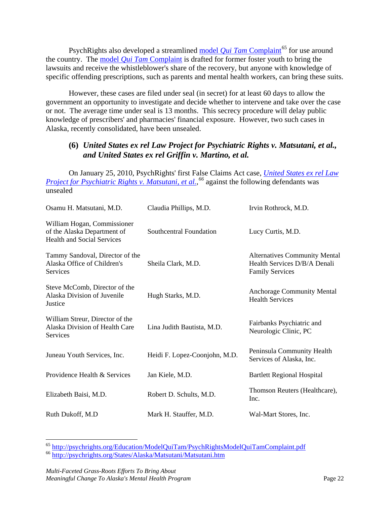PsychRights also developed a streamlined model *Qui Tam* [Complaint](http://psychrights.org/education/ModelQuiTam/PsychRightsModelQuiTamComplaint.pdf)<sup>[65](#page-22-1)</sup> for use around the country. The model *Qui Tam* [Complaint](http://psychrights.org/education/ModelQuiTam/PsychRightsModelQuiTamComplaint.pdf) is drafted for former foster youth to bring the lawsuits and receive the whistleblower's share of the recovery, but anyone with knowledge of specific offending prescriptions, such as parents and mental health workers, can bring these suits.

However, these cases are filed under seal (in secret) for at least 60 days to allow the government an opportunity to investigate and decide whether to intervene and take over the case or not. The average time under seal is 13 months. This secrecy procedure will delay public knowledge of prescribers' and pharmacies' financial exposure. However, two such cases in Alaska, recently consolidated, have been unsealed.

## <span id="page-22-0"></span>**(6)** *United States ex rel Law Project for Psychiatric Rights v. Matsutani, et al., and United States ex rel Griffin v. Martino, et al.*

On January 25, 2010, PsychRights' first False Claims Act case, *[United States ex rel Law](http://psychrights.org/States/Alaska/Matsutani/Matsutani.htm)  [Project for Psychiatric Rights v. Matsutani, et al.,](http://psychrights.org/States/Alaska/Matsutani/Matsutani.htm) [66](#page-22-2)* against the following defendants was unsealed

| Osamu H. Matsutani, M.D.                                                                        | Claudia Phillips, M.D.        | Irvin Rothrock, M.D.                                                                           |
|-------------------------------------------------------------------------------------------------|-------------------------------|------------------------------------------------------------------------------------------------|
| William Hogan, Commissioner<br>of the Alaska Department of<br><b>Health and Social Services</b> | Southcentral Foundation       | Lucy Curtis, M.D.                                                                              |
| Tammy Sandoval, Director of the<br>Alaska Office of Children's<br>Services                      | Sheila Clark, M.D.            | <b>Alternatives Community Mental</b><br>Health Services D/B/A Denali<br><b>Family Services</b> |
| Steve McComb, Director of the<br>Alaska Division of Juvenile<br>Justice                         | Hugh Starks, M.D.             | <b>Anchorage Community Mental</b><br><b>Health Services</b>                                    |
| William Streur, Director of the<br>Alaska Division of Health Care<br>Services                   | Lina Judith Bautista, M.D.    | Fairbanks Psychiatric and<br>Neurologic Clinic, PC                                             |
| Juneau Youth Services, Inc.                                                                     | Heidi F. Lopez-Coonjohn, M.D. | Peninsula Community Health<br>Services of Alaska, Inc.                                         |
| Providence Health & Services                                                                    | Jan Kiele, M.D.               | <b>Bartlett Regional Hospital</b>                                                              |
| Elizabeth Baisi, M.D.                                                                           | Robert D. Schults, M.D.       | Thomson Reuters (Healthcare),<br>Inc.                                                          |
| Ruth Dukoff, M.D                                                                                | Mark H. Stauffer, M.D.        | Wal-Mart Stores, Inc.                                                                          |

<span id="page-22-1"></span> <sup>65</sup> <http://psychrights.org/Education/ModelQuiTam/PsychRightsModelQuiTamComplaint.pdf>

<span id="page-22-2"></span><sup>66</sup> <http://psychrights.org/States/Alaska/Matsutani/Matsutani.htm>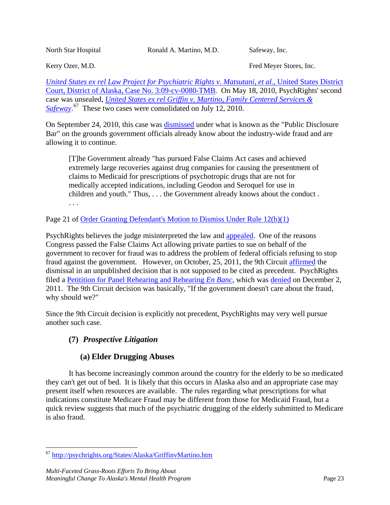North Star Hospital **Ronald A. Martino, M.D.** Safeway, Inc.

Kerry Ozer, M.D. **Fred Meyer Stores**, Inc.

*[United States ex rel Law Project for Psychiatric Rights v. Matsutani, et al.,](http://psychrights.org/states/Alaska/Matsutani/Matsutani.htm)* United States District [Court, District of Alaska, Case No. 3:09-cv-0080-TMB.](http://psychrights.org/states/Alaska/Matsutani/Matsutani.htm) On May 18, 2010, PsychRights' second case was unsealed, *[United States ex rel Griffin v. Martino, Family Centered Services &](http://psychrights.org/States/Alaska/GriffinvMartino.htm)*  [Safeway](http://psychrights.org/States/Alaska/GriffinvMartino.htm).<sup>[67](#page-23-1)</sup> These two cases were consolidated on July 12, 2010.

On September 24, 2010, this case was [dismissed](http://psychrights.org/States/Alaska/Matsutani/163-100924Order2DismissMatsutani.pdf) under what is known as the "Public Disclosure Bar" on the grounds government officials already know about the industry-wide fraud and are allowing it to continue.

[T]he Government already "has pursued False Claims Act cases and achieved extremely large recoveries against drug companies for causing the presentment of claims to Medicaid for prescriptions of psychotropic drugs that are not for medically accepted indications, including Geodon and Seroquel for use in children and youth." Thus, . . . the Government already knows about the conduct . . . .

Page 21 of [Order Granting Defendant's Motion to Dismiss Under Rule 12\(b\)\(1\)](http://psychrights.org/States/Alaska/Matsutani/163-100924Order2DismissMatsutani.pdf)

PsychRights believes the judge misinterpreted the law and [appealed.](http://psychrights.org/States/Alaska/Matsutani/Matsutani.htm#PubDiscBarAppeal) One of the reasons Congress passed the False Claims Act allowing private parties to sue on behalf of the government to recover for fraud was to address the problem of federal officials refusing to stop fraud against the government. However, on October, 25, 2011, the 9th Circuit [affirmed](http://psychrights.org/States/Alaska/Matsutani/9thCir10-35887/66-1-111025Affirmance.pdf) the dismissal in an unpublished decision that is not supposed to be cited as precedent. PsychRights filed a [Petitition for Panel Rehearing and Rehearing](http://psychrights.org/States/Alaska/Matsutani/9thCir10-35887/67-111107Petition4Rehearing.pdf) *En Banc*, which was [denied](http://psychrights.org/States/Alaska/Matsutani/9thCir10-35887/68-111202RehearingDenial.pdf) on December 2, 2011. The 9th Circuit decision was basically, "If the government doesn't care about the fraud, why should we?"

Since the 9th Circuit decision is explicitly not precedent, PsychRights may very well pursue another such case.

# <span id="page-23-0"></span>**(7)** *Prospective Litigation*

# **(a) Elder Drugging Abuses**

It has become increasingly common around the country for the elderly to be so medicated they can't get out of bed. It is likely that this occurs in Alaska also and an appropriate case may present itself when resources are available. The rules regarding what prescriptions for what indications constitute Medicare Fraud may be different from those for Medicaid Fraud, but a quick review suggests that much of the psychiatric drugging of the elderly submitted to Medicare is also fraud.

<span id="page-23-1"></span> <sup>67</sup> <http://psychrights.org/States/Alaska/GriffinvMartino.htm>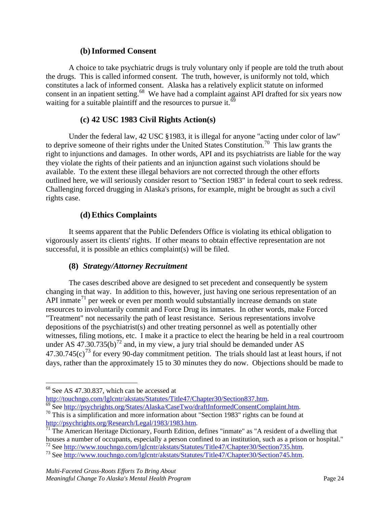#### **(b)Informed Consent**

A choice to take psychiatric drugs is truly voluntary only if people are told the truth about the drugs. This is called informed consent. The truth, however, is uniformly not told, which constitutes a lack of informed consent. Alaska has a relatively explicit statute on informed consent in an inpatient setting.<sup>68</sup> We have had a complaint against API drafted for six years now waiting for a suitable plaintiff and the resources to pursue it.<sup>[69](#page-24-2)</sup>

#### **(c) 42 USC 1983 Civil Rights Action(s)**

Under the federal law, 42 USC §1983, it is illegal for anyone "acting under color of law" to deprive someone of their rights under the United States Constitution.<sup>[70](#page-24-3)</sup> This law grants the right to injunctions and damages. In other words, API and its psychiatrists are liable for the way they violate the rights of their patients and an injunction against such violations should be available. To the extent these illegal behaviors are not corrected through the other efforts outlined here, we will seriously consider resort to "Section 1983" in federal court to seek redress. Challenging forced drugging in Alaska's prisons, for example, might be brought as such a civil rights case.

#### **(d)Ethics Complaints**

It seems apparent that the Public Defenders Office is violating its ethical obligation to vigorously assert its clients' rights. If other means to obtain effective representation are not successful, it is possible an ethics complaint(s) will be filed.

## **(8)** *Strategy/Attorney Recruitment*

<span id="page-24-0"></span>The cases described above are designed to set precedent and consequently be system changing in that way. In addition to this, however, just having one serious representation of an API inmate<sup>[71](#page-24-4)</sup> per week or even per month would substantially increase demands on state resources to involuntarily commit and Force Drug its inmates. In other words, make Forced "Treatment" not necessarily the path of least resistance. Serious representations involve depositions of the psychiatrist(s) and other treating personnel as well as potentially other witnesses, filing motions, etc. I make it a practice to elect the hearing be held in a real courtroom under AS 47.30.735(b)<sup>[72](#page-24-5)</sup> and, in my view, a jury trial should be demanded under AS  $47.30.745(c)^{73}$  $47.30.745(c)^{73}$  $47.30.745(c)^{73}$  for every 90-day commitment petition. The trials should last at least hours, if not days, rather than the approximately 15 to 30 minutes they do now. Objections should be made to

<span id="page-24-1"></span><sup>68</sup> See AS 47.30.837, which can be accessed at http://touchngo.com/lglcntr/akstats/Statutes/Title47/Chapter30/Section837.htm.

<span id="page-24-3"></span><span id="page-24-2"></span> $\frac{69}{69}$  See [http://psychrights.org/States/Alaska/CaseTwo/draftInformedConsentComplaint.htm.](http://psychrights.org/States/Alaska/CaseTwo/draftInformedConsentComplaint.htm)<br><sup>70</sup> This is a simplification and more information about "Section 1983" rights can be found at http://psychrights.org/Researc

<span id="page-24-4"></span> $\frac{1}{71}$  The American Heritage Dictionary, Fourth Edition, defines "inmate" as "A resident of a dwelling that houses a number of occupants, especially a person confined to an institution, such as a prison or hospital."

<span id="page-24-5"></span><sup>&</sup>lt;sup>72</sup> See [http://www.touchngo.com/lglcntr/akstats/Statutes/Title47/Chapter30/Section735.htm.](http://www.touchngo.com/lglcntr/akstats/Statutes/Title47/Chapter30/Section735.htm)<br><sup>73</sup> See [http://www.touchngo.com/lglcntr/akstats/Statutes/Title47/Chapter30/Section745.htm.](http://www.touchngo.com/lglcntr/akstats/Statutes/Title47/Chapter30/Section745.htm)

<span id="page-24-6"></span>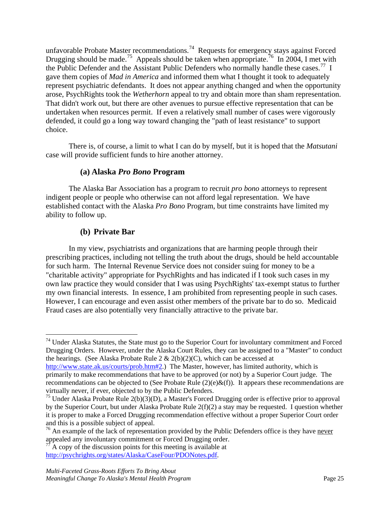unfavorable Probate Master recommendations.<sup>[74](#page-25-0)</sup> Requests for emergency stays against Forced Drugging should be made.<sup>75</sup> Appeals should be taken when appropriate.<sup>76</sup> In 2004, I met with the Public Defender and the Assistant Public Defenders who normally handle these cases.<sup>[77](#page-25-3)</sup> I gave them copies of *Mad in America* and informed them what I thought it took to adequately represent psychiatric defendants. It does not appear anything changed and when the opportunity arose, PsychRights took the *Wetherhorn* appeal to try and obtain more than sham representation. That didn't work out, but there are other avenues to pursue effective representation that can be undertaken when resources permit. If even a relatively small number of cases were vigorously defended, it could go a long way toward changing the "path of least resistance" to support choice.

There is, of course, a limit to what I can do by myself, but it is hoped that the *Matsutani*  case will provide sufficient funds to hire another attorney.

#### **(a) Alaska** *Pro Bono* **Program**

The Alaska Bar Association has a program to recruit *pro bono* attorneys to represent indigent people or people who otherwise can not afford legal representation. We have established contact with the Alaska *Pro Bono* Program, but time constraints have limited my ability to follow up.

## **(b) Private Bar**

In my view, psychiatrists and organizations that are harming people through their prescribing practices, including not telling the truth about the drugs, should be held accountable for such harm. The Internal Revenue Service does not consider suing for money to be a "charitable activity" appropriate for PsychRights and has indicated if I took such cases in my own law practice they would consider that I was using PsychRights' tax-exempt status to further my own financial interests. In essence, I am prohibited from representing people in such cases. However, I can encourage and even assist other members of the private bar to do so. Medicaid Fraud cases are also potentially very financially attractive to the private bar.

<span id="page-25-0"></span> <sup>74</sup> Under Alaska Statutes, the State must go to the Superior Court for involuntary commitment and Forced Drugging Orders. However, under the Alaska Court Rules, they can be assigned to a "Master" to conduct the hearings. (See Alaska Probate Rule  $2 \& 2(b)(2)(C)$ , which can be accessed at

[http://www.state.ak.us/courts/prob.htm#2.](http://www.state.ak.us/courts/prob.htm#2)) The Master, however, has limited authority, which is primarily to make recommendations that have to be approved (or not) by a Superior Court judge. The recommendations can be objected to (See Probate Rule  $(2)(e)\&(f)$ ). It appears these recommendations are virtually never, if ever, objected to by the Public Defenders.

<span id="page-25-1"></span> $75$  Under Alaska Probate Rule 2(b)(3)(D), a Master's Forced Drugging order is effective prior to approval by the Superior Court, but under Alaska Probate Rule 2(f)(2) a stay may be requested. I question whether it is proper to make a Forced Drugging recommendation effective without a proper Superior Court order and this is a possible subject of appeal.

<span id="page-25-2"></span><sup>&</sup>lt;sup>76</sup> An example of the lack of representation provided by the Public Defenders office is they have never appealed any involuntary commitment or Forced Drugging order.

<span id="page-25-3"></span>A copy of the discussion points for this meeting is available at [http://psychrights.org/states/Alaska/CaseFour/PDONotes.pdf.](http://psychrights.org/states/Alaska/CaseFour/PDONotes.pdf)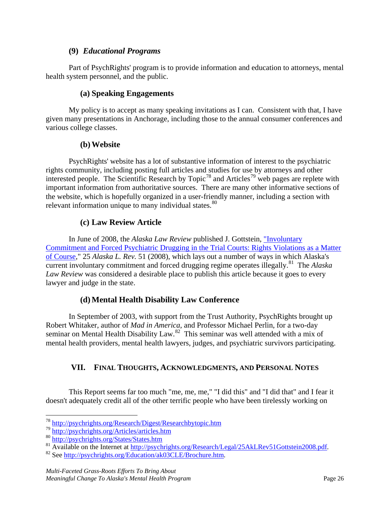#### **(9)** *Educational Programs*

<span id="page-26-0"></span>Part of PsychRights' program is to provide information and education to attorneys, mental health system personnel, and the public.

#### **(a) Speaking Engagements**

My policy is to accept as many speaking invitations as I can. Consistent with that, I have given many presentations in Anchorage, including those to the annual consumer conferences and various college classes.

#### **(b)Website**

PsychRights' website has a lot of substantive information of interest to the psychiatric rights community, including posting full articles and studies for use by attorneys and other interested people. The Scientific Research by Topic<sup>[78](#page-26-2)</sup> and Articles<sup>[79](#page-26-3)</sup> web pages are replete with important information from authoritative sources. There are many other informative sections of the website, which is hopefully organized in a user-friendly manner, including a section with relevant information unique to many individual states. $80$ 

# **(c) Law Review Article**

In June of 2008, the *Alaska Law Review* published J. Gottstein, ["Involuntary](http://psychrights.org/Research/Legal/25AkLRev51Gottstein2008.pdf)  [Commitment and Forced Psychiatric Drugging in the Trial Courts: Rights Violations as a Matter](http://psychrights.org/Research/Legal/25AkLRev51Gottstein2008.pdf)  [of Course,](http://psychrights.org/Research/Legal/25AkLRev51Gottstein2008.pdf)" 25 *Alaska L. Rev.* 51 (2008), which lays out a number of ways in which Alaska's current involuntary commitment and forced drugging regime operates illegally.[81](#page-26-5) The *Alaska Law Review* was considered a desirable place to publish this article because it goes to every lawyer and judge in the state.

## **(d) Mental Health Disability Law Conference**

In September of 2003, with support from the Trust Authority, PsychRights brought up Robert Whitaker, author of *Mad in America*, and Professor Michael Perlin, for a two-day seminar on Mental Health Disability Law.<sup>[82](#page-26-6)</sup> This seminar was well attended with a mix of mental health providers, mental health lawyers, judges, and psychiatric survivors participating.

# <span id="page-26-1"></span>**VII. FINAL THOUGHTS, ACKNOWLEDGMENTS, AND PERSONAL NOTES**

This Report seems far too much "me, me, me," "I did this" and "I did that" and I fear it doesn't adequately credit all of the other terrific people who have been tirelessly working on

<span id="page-26-2"></span> <sup>78</sup> <http://psychrights.org/Research/Digest/Researchbytopic.htm>

<span id="page-26-3"></span><sup>79</sup> <http://psychrights.org/Articles/articles.htm>

<span id="page-26-4"></span><sup>80</sup> <http://psychrights.org/States/States.htm>

<span id="page-26-5"></span><sup>81</sup> Available on the Internet at [http://psychrights.org/Research/Legal/25AkLRev51Gottstein2008.pdf.](http://psychrights.org/Research/Legal/25AkLRev51Gottstein2008.pdf) 82 See [http://psychrights.org/Education/ak03CLE/Brochure.htm.](http://psychrights.org/Education/ak03CLE/Brochure.htm)

<span id="page-26-6"></span>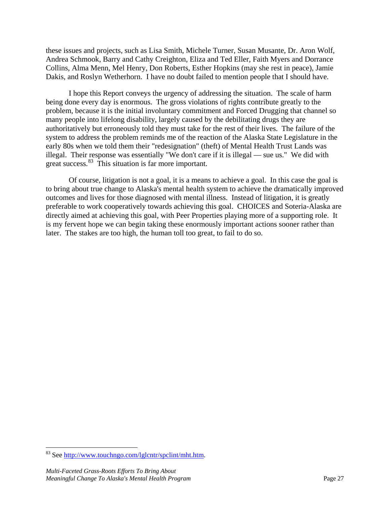these issues and projects, such as Lisa Smith, Michele Turner, Susan Musante, Dr. Aron Wolf, Andrea Schmook, Barry and Cathy Creighton, Eliza and Ted Eller, Faith Myers and Dorrance Collins, Alma Menn, Mel Henry, Don Roberts, Esther Hopkins (may she rest in peace), Jamie Dakis, and Roslyn Wetherhorn. I have no doubt failed to mention people that I should have.

I hope this Report conveys the urgency of addressing the situation. The scale of harm being done every day is enormous. The gross violations of rights contribute greatly to the problem, because it is the initial involuntary commitment and Forced Drugging that channel so many people into lifelong disability, largely caused by the debilitating drugs they are authoritatively but erroneously told they must take for the rest of their lives. The failure of the system to address the problem reminds me of the reaction of the Alaska State Legislature in the early 80s when we told them their "redesignation" (theft) of Mental Health Trust Lands was illegal. Their response was essentially "We don't care if it is illegal — sue us." We did with great success.<sup>83</sup> This situation is far more important.

Of course, litigation is not a goal, it is a means to achieve a goal. In this case the goal is to bring about true change to Alaska's mental health system to achieve the dramatically improved outcomes and lives for those diagnosed with mental illness. Instead of litigation, it is greatly preferable to work cooperatively towards achieving this goal. CHOICES and Soteria-Alaska are directly aimed at achieving this goal, with Peer Properties playing more of a supporting role. It is my fervent hope we can begin taking these enormously important actions sooner rather than later. The stakes are too high, the human toll too great, to fail to do so.

<span id="page-27-0"></span> <sup>83</sup> See [http://www.touchngo.com/lglcntr/spclint/mht.htm.](http://www.touchngo.com/lglcntr/spclint/mht.htm)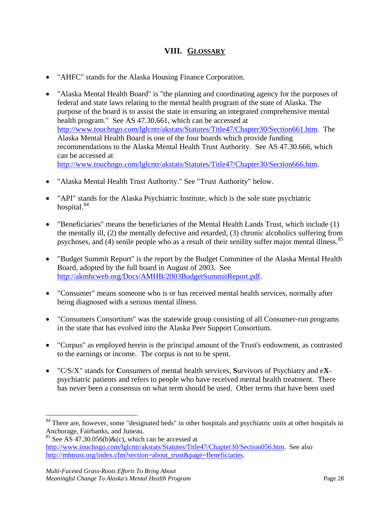# **VIII. GLOSSARY**

- <span id="page-28-0"></span>• "AHFC" stands for the Alaska Housing Finance Corporation.
- "Alaska Mental Health Board" is "the planning and coordinating agency for the purposes of federal and state laws relating to the mental health program of the state of Alaska. The purpose of the board is to assist the state in ensuring an integrated comprehensive mental health program." See AS 47.30.661, which can be accessed at [http://www.touchngo.com/lglcntr/akstats/Statutes/Title47/Chapter30/Section661.htm.](http://www.touchngo.com/lglcntr/akstats/Statutes/Title47/Chapter30/Section661.htm) The Alaska Mental Health Board is one of the four boards which provide funding recommendations to the Alaska Mental Health Trust Authority. See AS 47.30.666, which can be accessed at [http://www.touchngo.com/lglcntr/akstats/Statutes/Title47/Chapter30/Section666.htm.](http://www.touchngo.com/lglcntr/akstats/Statutes/Title47/Chapter30/Section666.htm)
- "Alaska Mental Health Trust Authority." See "Trust Authority" below.
- "API" stands for the Alaska Psychiatric Institute, which is the sole state psychiatric hospital.<sup>[84](#page-28-1)</sup>
- "Beneficiaries" means the beneficiaries of the Mental Health Lands Trust, which include (1) the mentally ill, (2) the mentally defective and retarded, (3) chronic alcoholics suffering from psychoses, and (4) senile people who as a result of their senility suffer major mental illness.<sup>[85](#page-28-2)</sup>
- "Budget Summit Report" is the report by the Budget Committee of the Alaska Mental Health Board, adopted by the full board in August of 2003. See [http://akmhcweb.org/Docs/AMHB/2003BudgetSummitReport.pdf.](http://akmhcweb.org/Docs/AMHB/2003BudgetSummitReport.pdf)
- "Consumer" means someone who is or has received mental health services, normally after being diagnosed with a serious mental illness.
- "Consumers Consortium" was the statewide group consisting of all Consumer-run programs in the state that has evolved into the Alaska Peer Support Consortium.
- "Corpus" as employed herein is the principal amount of the Trust's endowment, as contrasted to the earnings or income. The corpus is not to be spent.
- "C/S/X" stands for **C**onsumers of mental health services, **S**urvivors of Psychiatry and e**X**psychiatric patients and refers to people who have received mental health treatment. There has never been a consensus on what term should be used. Other terms that have been used

<span id="page-28-1"></span><sup>&</sup>lt;sup>84</sup> There are, however, some "designated beds" in other hospitals and psychiatric units at other hospitals in Anchorage, Fairbanks, and Juneau.

<span id="page-28-2"></span><sup>&</sup>lt;sup>85</sup> See AS 47.30.056(b)&(c), which can be accessed at [http://www.touchngo.com/lglcntr/akstats/Statutes/Title47/Chapter30/Section056.htm.](http://www.touchngo.com/lglcntr/akstats/Statutes/Title47/Chapter30/Section056.htm) See also [http://mhtrust.org/index.cfm?section=about\\_trust&page=Beneficiaries.](http://mhtrust.org/index.cfm?section=about_trust&page=Beneficiaries)